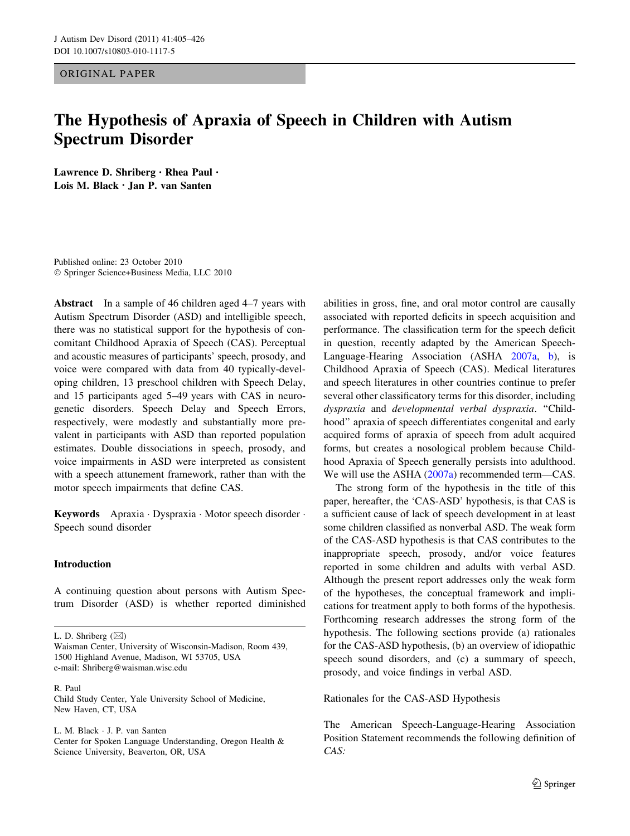ORIGINAL PAPER

# The Hypothesis of Apraxia of Speech in Children with Autism Spectrum Disorder

Lawrence D. Shriberg • Rhea Paul • Lois M. Black • Jan P. van Santen

Published online: 23 October 2010 - Springer Science+Business Media, LLC 2010

Abstract In a sample of 46 children aged 4–7 years with Autism Spectrum Disorder (ASD) and intelligible speech, there was no statistical support for the hypothesis of concomitant Childhood Apraxia of Speech (CAS). Perceptual and acoustic measures of participants' speech, prosody, and voice were compared with data from 40 typically-developing children, 13 preschool children with Speech Delay, and 15 participants aged 5–49 years with CAS in neurogenetic disorders. Speech Delay and Speech Errors, respectively, were modestly and substantially more prevalent in participants with ASD than reported population estimates. Double dissociations in speech, prosody, and voice impairments in ASD were interpreted as consistent with a speech attunement framework, rather than with the motor speech impairments that define CAS.

Keywords Apraxia · Dyspraxia · Motor speech disorder · Speech sound disorder

# Introduction

A continuing question about persons with Autism Spectrum Disorder (ASD) is whether reported diminished

L. D. Shriberg  $(\boxtimes)$ 

R. Paul Child Study Center, Yale University School of Medicine, New Haven, CT, USA

L. M. Black - J. P. van Santen Center for Spoken Language Understanding, Oregon Health & Science University, Beaverton, OR, USA

abilities in gross, fine, and oral motor control are causally associated with reported deficits in speech acquisition and performance. The classification term for the speech deficit in question, recently adapted by the American Speech-Language-Hearing Association (ASHA [2007a,](#page-17-0) [b\)](#page-17-0), is Childhood Apraxia of Speech (CAS). Medical literatures and speech literatures in other countries continue to prefer several other classificatory terms for this disorder, including dyspraxia and developmental verbal dyspraxia. ''Childhood'' apraxia of speech differentiates congenital and early acquired forms of apraxia of speech from adult acquired forms, but creates a nosological problem because Childhood Apraxia of Speech generally persists into adulthood. We will use the ASHA [\(2007a\)](#page-17-0) recommended term—CAS.

The strong form of the hypothesis in the title of this paper, hereafter, the 'CAS-ASD' hypothesis, is that CAS is a sufficient cause of lack of speech development in at least some children classified as nonverbal ASD. The weak form of the CAS-ASD hypothesis is that CAS contributes to the inappropriate speech, prosody, and/or voice features reported in some children and adults with verbal ASD. Although the present report addresses only the weak form of the hypotheses, the conceptual framework and implications for treatment apply to both forms of the hypothesis. Forthcoming research addresses the strong form of the hypothesis. The following sections provide (a) rationales for the CAS-ASD hypothesis, (b) an overview of idiopathic speech sound disorders, and (c) a summary of speech, prosody, and voice findings in verbal ASD.

Rationales for the CAS-ASD Hypothesis

The American Speech-Language-Hearing Association Position Statement recommends the following definition of CAS:

Waisman Center, University of Wisconsin-Madison, Room 439, 1500 Highland Avenue, Madison, WI 53705, USA e-mail: Shriberg@waisman.wisc.edu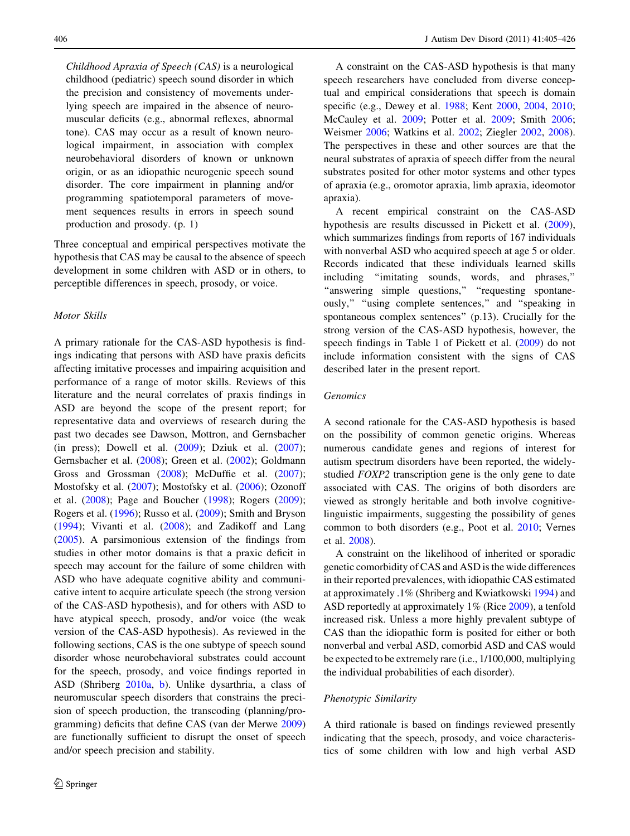Childhood Apraxia of Speech (CAS) is a neurological childhood (pediatric) speech sound disorder in which the precision and consistency of movements underlying speech are impaired in the absence of neuromuscular deficits (e.g., abnormal reflexes, abnormal tone). CAS may occur as a result of known neurological impairment, in association with complex neurobehavioral disorders of known or unknown origin, or as an idiopathic neurogenic speech sound disorder. The core impairment in planning and/or programming spatiotemporal parameters of movement sequences results in errors in speech sound production and prosody. (p. 1)

Three conceptual and empirical perspectives motivate the hypothesis that CAS may be causal to the absence of speech development in some children with ASD or in others, to perceptible differences in speech, prosody, or voice.

# Motor Skills

A primary rationale for the CAS-ASD hypothesis is findings indicating that persons with ASD have praxis deficits affecting imitative processes and impairing acquisition and performance of a range of motor skills. Reviews of this literature and the neural correlates of praxis findings in ASD are beyond the scope of the present report; for representative data and overviews of research during the past two decades see Dawson, Mottron, and Gernsbacher (in press); Dowell et al. [\(2009](#page-18-0)); Dziuk et al. [\(2007](#page-18-0)); Gernsbacher et al. [\(2008](#page-18-0)); Green et al. [\(2002](#page-18-0)); Goldmann Gross and Grossman ([2008\)](#page-18-0); McDuffie et al. [\(2007](#page-19-0)); Mostofsky et al. [\(2007](#page-19-0)); Mostofsky et al. [\(2006](#page-19-0)); Ozonoff et al. ([2008\)](#page-19-0); Page and Boucher [\(1998](#page-19-0)); Rogers [\(2009](#page-19-0)); Rogers et al. [\(1996](#page-19-0)); Russo et al. [\(2009](#page-19-0)); Smith and Bryson [\(1994](#page-20-0)); Vivanti et al. ([2008\)](#page-21-0); and Zadikoff and Lang [\(2005](#page-21-0)). A parsimonious extension of the findings from studies in other motor domains is that a praxic deficit in speech may account for the failure of some children with ASD who have adequate cognitive ability and communicative intent to acquire articulate speech (the strong version of the CAS-ASD hypothesis), and for others with ASD to have atypical speech, prosody, and/or voice (the weak version of the CAS-ASD hypothesis). As reviewed in the following sections, CAS is the one subtype of speech sound disorder whose neurobehavioral substrates could account for the speech, prosody, and voice findings reported in ASD (Shriberg [2010a](#page-19-0), [b\)](#page-20-0). Unlike dysarthria, a class of neuromuscular speech disorders that constrains the precision of speech production, the transcoding (planning/programming) deficits that define CAS (van der Merwe [2009\)](#page-20-0) are functionally sufficient to disrupt the onset of speech and/or speech precision and stability.

A constraint on the CAS-ASD hypothesis is that many speech researchers have concluded from diverse conceptual and empirical considerations that speech is domain specific (e.g., Dewey et al. [1988](#page-18-0); Kent [2000](#page-18-0), [2004](#page-18-0), [2010](#page-18-0); McCauley et al. [2009](#page-18-0); Potter et al. [2009](#page-19-0); Smith [2006](#page-20-0); Weismer [2006;](#page-21-0) Watkins et al. [2002](#page-21-0); Ziegler [2002](#page-21-0), [2008](#page-21-0)). The perspectives in these and other sources are that the neural substrates of apraxia of speech differ from the neural substrates posited for other motor systems and other types of apraxia (e.g., oromotor apraxia, limb apraxia, ideomotor apraxia).

A recent empirical constraint on the CAS-ASD hypothesis are results discussed in Pickett et al. [\(2009](#page-19-0)), which summarizes findings from reports of 167 individuals with nonverbal ASD who acquired speech at age 5 or older. Records indicated that these individuals learned skills including "imitating sounds, words, and phrases," "answering simple questions," "requesting spontaneously," "using complete sentences," and "speaking in spontaneous complex sentences'' (p.13). Crucially for the strong version of the CAS-ASD hypothesis, however, the speech findings in Table 1 of Pickett et al. ([2009\)](#page-19-0) do not include information consistent with the signs of CAS described later in the present report.

## Genomics

A second rationale for the CAS-ASD hypothesis is based on the possibility of common genetic origins. Whereas numerous candidate genes and regions of interest for autism spectrum disorders have been reported, the widelystudied FOXP2 transcription gene is the only gene to date associated with CAS. The origins of both disorders are viewed as strongly heritable and both involve cognitivelinguistic impairments, suggesting the possibility of genes common to both disorders (e.g., Poot et al. [2010](#page-19-0); Vernes et al. [2008\)](#page-20-0).

A constraint on the likelihood of inherited or sporadic genetic comorbidity of CAS and ASD is the wide differences in their reported prevalences, with idiopathic CAS estimated at approximately .1% (Shriberg and Kwiatkowski [1994](#page-20-0)) and ASD reportedly at approximately 1% (Rice [2009\)](#page-19-0), a tenfold increased risk. Unless a more highly prevalent subtype of CAS than the idiopathic form is posited for either or both nonverbal and verbal ASD, comorbid ASD and CAS would be expected to be extremely rare (i.e., 1/100,000, multiplying the individual probabilities of each disorder).

#### Phenotypic Similarity

A third rationale is based on findings reviewed presently indicating that the speech, prosody, and voice characteristics of some children with low and high verbal ASD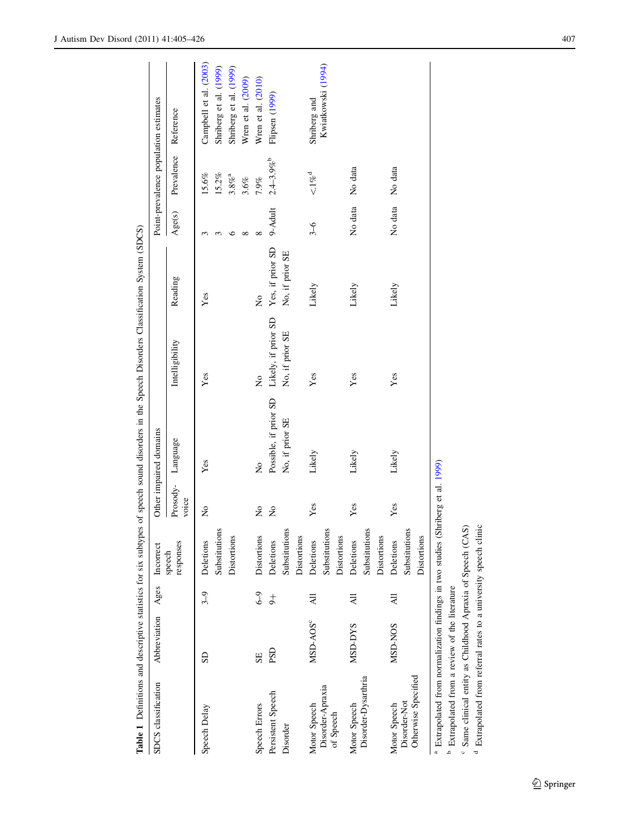<span id="page-2-0"></span>

| SDCS classification | Abbreviation         | Ages                 | Incorrect           |                         | Other impaired domains |                     |                  |         |                            | Point-prevalence population estimates |
|---------------------|----------------------|----------------------|---------------------|-------------------------|------------------------|---------------------|------------------|---------|----------------------------|---------------------------------------|
|                     |                      |                      | responses<br>speech | voice                   | Prosody- Language      | Intelligibility     | Reading          | Age(s)  | Prevalence                 | Reference                             |
| Speech Delay        | GS                   | $3 - 9$              | Deletions           | $\frac{1}{2}$           | Yes                    | Yes                 | Yes              |         | 15.6%                      | Campbell et al. (2003)                |
|                     |                      |                      | Substitutions       |                         |                        |                     |                  |         | 15.2%                      | Shriberg et al. (1999)                |
|                     |                      |                      | Distortions         |                         |                        |                     |                  | ७       | $3.8\%$ <sup>a</sup>       | Shriberg et al. (1999)                |
|                     |                      |                      |                     |                         |                        |                     |                  | ∞       | 3.6%                       | Wren et al. (2009)                    |
| Speech Errors       | SE                   | $6-9$                | Distortions         | $\overline{\mathsf{X}}$ | $\tilde{z}$            | $\frac{1}{2}$       | $\frac{1}{2}$    | ∞       | 7.9%                       | Wren et al. (2010)                    |
| Persistent Speech   | PSD                  | $\ddot{\varepsilon}$ | Deletions           | $\frac{1}{2}$           | Possible, if prior SD  | Likely, if prior SD | Yes, if prior SD | 9-Adult | $2.4 - 3.9\%$ <sup>b</sup> | Flipsen (1999)                        |
| Disorder            |                      |                      | Substitutions       |                         | No, if prior SE        | No, if prior SE     | No, if prior SE  |         |                            |                                       |
|                     |                      |                      | Distortions         |                         |                        |                     |                  |         |                            |                                       |
| Motor Speech        | MSD-AOS <sup>c</sup> | $\overline{AB}$      | Deletions           | Yes                     | Likely                 | Yes                 | Likely           | $3 - 6$ | $1\%^{d}$                  | Shriberg and                          |
| Disorder-Apraxia    |                      |                      | Substitutions       |                         |                        |                     |                  |         |                            | Kwiatkowski (1994)                    |
| of Speech           |                      |                      | Distortions         |                         |                        |                     |                  |         |                            |                                       |
| Motor Speech        | NSD-DYS              | ㅋ                    | Deletions           | Yes                     | Likely                 | Yes                 | Likely           | No data | No data                    |                                       |
| Disorder-Dysarthria |                      |                      | Substitutions       |                         |                        |                     |                  |         |                            |                                       |
|                     |                      |                      | Distortions         |                         |                        |                     |                  |         |                            |                                       |
| Motor Speech        | MSD-NOS              | $\overline{AB}$      | Deletions           | Yes                     | Likely                 | Yes                 | Likely           | No data | No data                    |                                       |
| Disorder-Not        |                      |                      | Substitutions       |                         |                        |                     |                  |         |                            |                                       |
| Otherwise Specified |                      |                      | Distortions         |                         |                        |                     |                  |         |                            |                                       |

<sup>c</sup> Same clinical entity as Childhood Apraxia of Speech (CAS) Same clinical entity as Childhood Apraxia of Speech (CAS) <sup>d</sup> Extrapolated from referral rates to a university speech clinic Extrapolated from referral rates to a university speech clinic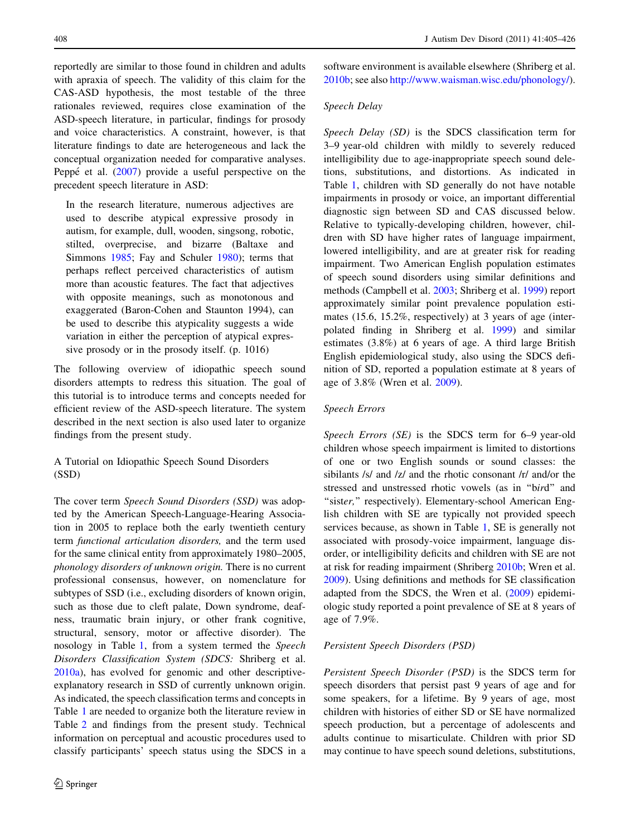reportedly are similar to those found in children and adults with apraxia of speech. The validity of this claim for the CAS-ASD hypothesis, the most testable of the three rationales reviewed, requires close examination of the ASD-speech literature, in particular, findings for prosody and voice characteristics. A constraint, however, is that literature findings to date are heterogeneous and lack the conceptual organization needed for comparative analyses. Peppé et al.  $(2007)$  provide a useful perspective on the precedent speech literature in ASD:

In the research literature, numerous adjectives are used to describe atypical expressive prosody in autism, for example, dull, wooden, singsong, robotic, stilted, overprecise, and bizarre (Baltaxe and Simmons [1985;](#page-17-0) Fay and Schuler [1980](#page-18-0)); terms that perhaps reflect perceived characteristics of autism more than acoustic features. The fact that adjectives with opposite meanings, such as monotonous and exaggerated (Baron-Cohen and Staunton 1994), can be used to describe this atypicality suggests a wide variation in either the perception of atypical expressive prosody or in the prosody itself. (p. 1016)

The following overview of idiopathic speech sound disorders attempts to redress this situation. The goal of this tutorial is to introduce terms and concepts needed for efficient review of the ASD-speech literature. The system described in the next section is also used later to organize findings from the present study.

A Tutorial on Idiopathic Speech Sound Disorders (SSD)

The cover term Speech Sound Disorders (SSD) was adopted by the American Speech-Language-Hearing Association in 2005 to replace both the early twentieth century term functional articulation disorders, and the term used for the same clinical entity from approximately 1980–2005, phonology disorders of unknown origin. There is no current professional consensus, however, on nomenclature for subtypes of SSD (i.e., excluding disorders of known origin, such as those due to cleft palate, Down syndrome, deafness, traumatic brain injury, or other frank cognitive, structural, sensory, motor or affective disorder). The nosology in Table [1,](#page-2-0) from a system termed the Speech Disorders Classification System (SDCS: Shriberg et al. [2010a](#page-20-0)), has evolved for genomic and other descriptiveexplanatory research in SSD of currently unknown origin. As indicated, the speech classification terms and concepts in Table [1](#page-2-0) are needed to organize both the literature review in Table [2](#page-4-0) and findings from the present study. Technical information on perceptual and acoustic procedures used to classify participants' speech status using the SDCS in a software environment is available elsewhere (Shriberg et al. [2010b](#page-20-0); see also <http://www.waisman.wisc.edu/phonology/>).

#### Speech Delay

Speech Delay (SD) is the SDCS classification term for 3–9 year-old children with mildly to severely reduced intelligibility due to age-inappropriate speech sound deletions, substitutions, and distortions. As indicated in Table [1](#page-2-0), children with SD generally do not have notable impairments in prosody or voice, an important differential diagnostic sign between SD and CAS discussed below. Relative to typically-developing children, however, children with SD have higher rates of language impairment, lowered intelligibility, and are at greater risk for reading impairment. Two American English population estimates of speech sound disorders using similar definitions and methods (Campbell et al. [2003;](#page-17-0) Shriberg et al. [1999](#page-20-0)) report approximately similar point prevalence population estimates (15.6, 15.2%, respectively) at 3 years of age (interpolated finding in Shriberg et al. [1999\)](#page-20-0) and similar estimates (3.8%) at 6 years of age. A third large British English epidemiological study, also using the SDCS definition of SD, reported a population estimate at 8 years of age of 3.8% (Wren et al. [2009\)](#page-21-0).

### Speech Errors

Speech Errors (SE) is the SDCS term for 6–9 year-old children whose speech impairment is limited to distortions of one or two English sounds or sound classes: the sibilants /s/ and /z/ and the rhotic consonant /r/ and/or the stressed and unstressed rhotic vowels (as in ''bird'' and "sister," respectively). Elementary-school American English children with SE are typically not provided speech services because, as shown in Table [1](#page-2-0), SE is generally not associated with prosody-voice impairment, language disorder, or intelligibility deficits and children with SE are not at risk for reading impairment (Shriberg [2010b](#page-20-0); Wren et al. [2009](#page-21-0)). Using definitions and methods for SE classification adapted from the SDCS, the Wren et al. [\(2009\)](#page-21-0) epidemiologic study reported a point prevalence of SE at 8 years of age of 7.9%.

#### Persistent Speech Disorders (PSD)

Persistent Speech Disorder (PSD) is the SDCS term for speech disorders that persist past 9 years of age and for some speakers, for a lifetime. By 9 years of age, most children with histories of either SD or SE have normalized speech production, but a percentage of adolescents and adults continue to misarticulate. Children with prior SD may continue to have speech sound deletions, substitutions,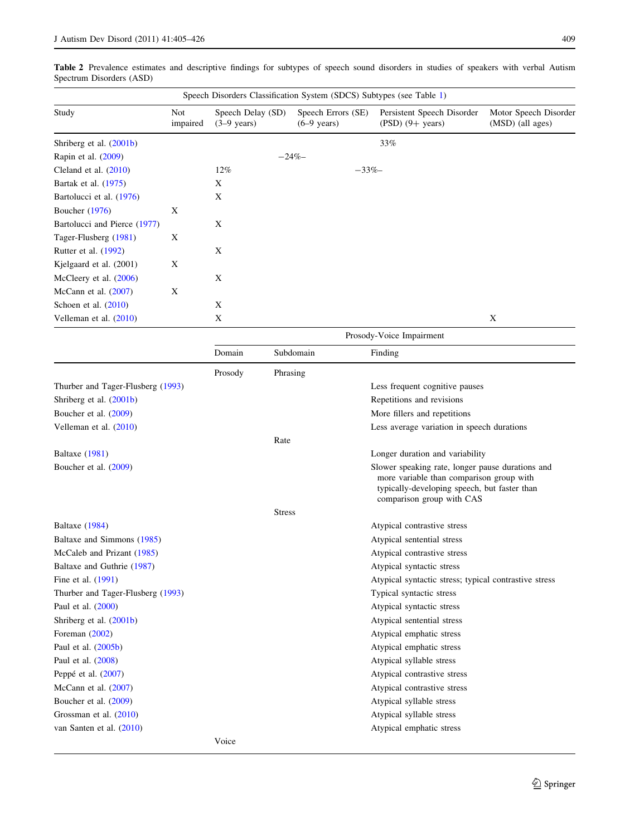<span id="page-4-0"></span>Table 2 Prevalence estimates and descriptive findings for subtypes of speech sound disorders in studies of speakers with verbal Autism Spectrum Disorders (ASD)

|                              |                 | Speech Disorders Classification System (SDCS) Subtypes (see Table 1) |                                             |                                                    |                                             |
|------------------------------|-----------------|----------------------------------------------------------------------|---------------------------------------------|----------------------------------------------------|---------------------------------------------|
| Study                        | Not<br>impaired | Speech Delay (SD)<br>$(3-9 \text{ years})$                           | Speech Errors (SE)<br>$(6-9 \text{ years})$ | Persistent Speech Disorder<br>$(PSD)$ $(9+$ years) | Motor Speech Disorder<br>$(MSD)$ (all ages) |
| Shriberg et al. $(2001b)$    |                 |                                                                      |                                             | 33%                                                |                                             |
| Rapin et al. (2009)          |                 |                                                                      | $-24% -$                                    |                                                    |                                             |
| Cleland et al. $(2010)$      |                 | $12\%$                                                               | $-33% -$                                    |                                                    |                                             |
| Bartak et al. (1975)         |                 | X                                                                    |                                             |                                                    |                                             |
| Bartolucci et al. (1976)     |                 | X                                                                    |                                             |                                                    |                                             |
| Boucher (1976)               | X               |                                                                      |                                             |                                                    |                                             |
| Bartolucci and Pierce (1977) |                 | X                                                                    |                                             |                                                    |                                             |
| Tager-Flusberg (1981)        | X               |                                                                      |                                             |                                                    |                                             |
| Rutter et al. (1992)         |                 | X                                                                    |                                             |                                                    |                                             |
| Kjelgaard et al. (2001)      | X               |                                                                      |                                             |                                                    |                                             |
| McCleery et al. $(2006)$     |                 | X                                                                    |                                             |                                                    |                                             |
| McCann et al. $(2007)$       | X               |                                                                      |                                             |                                                    |                                             |
| Schoen et al. $(2010)$       |                 | X                                                                    |                                             |                                                    |                                             |
| Velleman et al. $(2010)$     |                 | X                                                                    |                                             |                                                    | X                                           |

|                                   |         |               | Prosody-Voice Impairment                                                                                                                                                  |
|-----------------------------------|---------|---------------|---------------------------------------------------------------------------------------------------------------------------------------------------------------------------|
|                                   | Domain  | Subdomain     | Finding                                                                                                                                                                   |
|                                   | Prosody | Phrasing      |                                                                                                                                                                           |
| Thurber and Tager-Flusberg (1993) |         |               | Less frequent cognitive pauses                                                                                                                                            |
| Shriberg et al. (2001b)           |         |               | Repetitions and revisions                                                                                                                                                 |
| Boucher et al. (2009)             |         |               | More fillers and repetitions                                                                                                                                              |
| Velleman et al. (2010)            |         |               | Less average variation in speech durations                                                                                                                                |
|                                   |         | Rate          |                                                                                                                                                                           |
| <b>Baltaxe</b> (1981)             |         |               | Longer duration and variability                                                                                                                                           |
| Boucher et al. (2009)             |         |               | Slower speaking rate, longer pause durations and<br>more variable than comparison group with<br>typically-developing speech, but faster than<br>comparison group with CAS |
|                                   |         | <b>Stress</b> |                                                                                                                                                                           |
| Baltaxe (1984)                    |         |               | Atypical contrastive stress                                                                                                                                               |
| Baltaxe and Simmons (1985)        |         |               | Atypical sentential stress                                                                                                                                                |
| McCaleb and Prizant (1985)        |         |               | Atypical contrastive stress                                                                                                                                               |
| Baltaxe and Guthrie (1987)        |         |               | Atypical syntactic stress                                                                                                                                                 |
| Fine et al. (1991)                |         |               | Atypical syntactic stress; typical contrastive stress                                                                                                                     |
| Thurber and Tager-Flusberg (1993) |         |               | Typical syntactic stress                                                                                                                                                  |
| Paul et al. (2000)                |         |               | Atypical syntactic stress                                                                                                                                                 |
| Shriberg et al. (2001b)           |         |               | Atypical sentential stress                                                                                                                                                |
| Foreman $(2002)$                  |         |               | Atypical emphatic stress                                                                                                                                                  |
| Paul et al. $(2005b)$             |         |               | Atypical emphatic stress                                                                                                                                                  |
| Paul et al. (2008)                |         |               | Atypical syllable stress                                                                                                                                                  |
| Peppé et al. $(2007)$             |         |               | Atypical contrastive stress                                                                                                                                               |
| McCann et al. $(2007)$            |         |               | Atypical contrastive stress                                                                                                                                               |
| Boucher et al. (2009)             |         |               | Atypical syllable stress                                                                                                                                                  |
| Grossman et al. $(2010)$          |         |               | Atypical syllable stress                                                                                                                                                  |
| van Santen et al. (2010)          |         |               | Atypical emphatic stress                                                                                                                                                  |
|                                   | Voice   |               |                                                                                                                                                                           |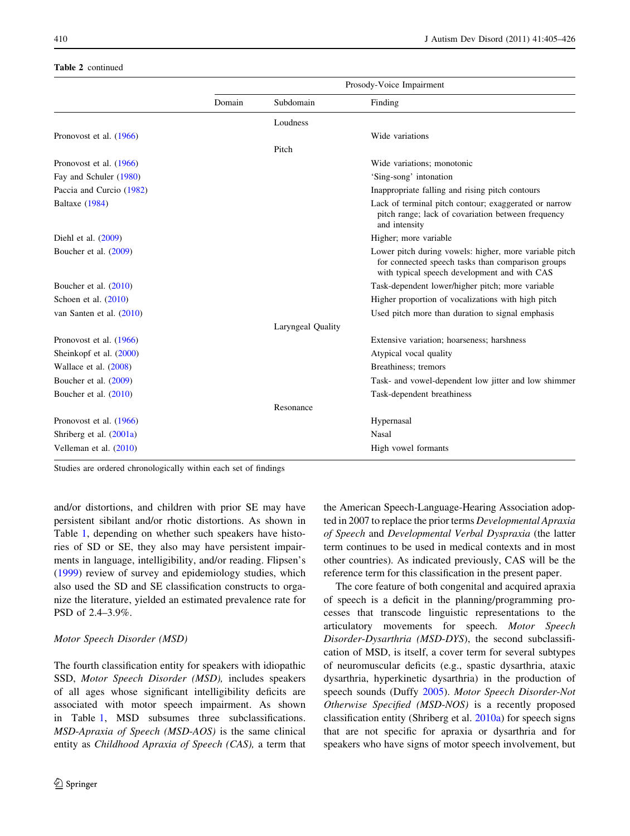#### Table 2 continued

|                           |        |                   | Prosody-Voice Impairment                                                                                                                                    |
|---------------------------|--------|-------------------|-------------------------------------------------------------------------------------------------------------------------------------------------------------|
|                           | Domain | Subdomain         | Finding                                                                                                                                                     |
|                           |        | Loudness          |                                                                                                                                                             |
| Pronovost et al. (1966)   |        |                   | Wide variations                                                                                                                                             |
|                           |        | Pitch             |                                                                                                                                                             |
| Pronovost et al. (1966)   |        |                   | Wide variations: monotonic                                                                                                                                  |
| Fay and Schuler (1980)    |        |                   | 'Sing-song' intonation                                                                                                                                      |
| Paccia and Curcio (1982)  |        |                   | Inappropriate falling and rising pitch contours                                                                                                             |
| <b>Baltaxe</b> (1984)     |        |                   | Lack of terminal pitch contour; exaggerated or narrow<br>pitch range; lack of covariation between frequency<br>and intensity                                |
| Diehl et al. $(2009)$     |        |                   | Higher; more variable                                                                                                                                       |
| Boucher et al. (2009)     |        |                   | Lower pitch during vowels: higher, more variable pitch<br>for connected speech tasks than comparison groups<br>with typical speech development and with CAS |
| Boucher et al. (2010)     |        |                   | Task-dependent lower/higher pitch; more variable                                                                                                            |
| Schoen et al. $(2010)$    |        |                   | Higher proportion of vocalizations with high pitch                                                                                                          |
| van Santen et al. (2010)  |        |                   | Used pitch more than duration to signal emphasis                                                                                                            |
|                           |        | Laryngeal Quality |                                                                                                                                                             |
| Pronovost et al. (1966)   |        |                   | Extensive variation; hoarseness; harshness                                                                                                                  |
| Sheinkopf et al. (2000)   |        |                   | Atypical vocal quality                                                                                                                                      |
| Wallace et al. (2008)     |        |                   | Breathiness; tremors                                                                                                                                        |
| Boucher et al. (2009)     |        |                   | Task- and vowel-dependent low jitter and low shimmer                                                                                                        |
| Boucher et al. (2010)     |        |                   | Task-dependent breathiness                                                                                                                                  |
|                           |        | Resonance         |                                                                                                                                                             |
| Pronovost et al. (1966)   |        |                   | Hypernasal                                                                                                                                                  |
| Shriberg et al. $(2001a)$ |        |                   | <b>Nasal</b>                                                                                                                                                |
| Velleman et al. (2010)    |        |                   | High vowel formants                                                                                                                                         |

Studies are ordered chronologically within each set of findings

and/or distortions, and children with prior SE may have persistent sibilant and/or rhotic distortions. As shown in Table [1](#page-2-0), depending on whether such speakers have histories of SD or SE, they also may have persistent impairments in language, intelligibility, and/or reading. Flipsen's [\(1999](#page-18-0)) review of survey and epidemiology studies, which also used the SD and SE classification constructs to organize the literature, yielded an estimated prevalence rate for PSD of 2.4–3.9%.

## Motor Speech Disorder (MSD)

The fourth classification entity for speakers with idiopathic SSD, Motor Speech Disorder (MSD), includes speakers of all ages whose significant intelligibility deficits are associated with motor speech impairment. As shown in Table [1,](#page-2-0) MSD subsumes three subclassifications. MSD-Apraxia of Speech (MSD-AOS) is the same clinical entity as Childhood Apraxia of Speech (CAS), a term that the American Speech-Language-Hearing Association adopted in 2007 to replace the prior terms Developmental Apraxia of Speech and Developmental Verbal Dyspraxia (the latter term continues to be used in medical contexts and in most other countries). As indicated previously, CAS will be the reference term for this classification in the present paper.

The core feature of both congenital and acquired apraxia of speech is a deficit in the planning/programming processes that transcode linguistic representations to the articulatory movements for speech. Motor Speech Disorder-Dysarthria (MSD-DYS), the second subclassification of MSD, is itself, a cover term for several subtypes of neuromuscular deficits (e.g., spastic dysarthria, ataxic dysarthria, hyperkinetic dysarthria) in the production of speech sounds (Duffy [2005\)](#page-18-0). Motor Speech Disorder-Not Otherwise Specified (MSD-NOS) is a recently proposed classification entity (Shriberg et al. [2010a\)](#page-20-0) for speech signs that are not specific for apraxia or dysarthria and for speakers who have signs of motor speech involvement, but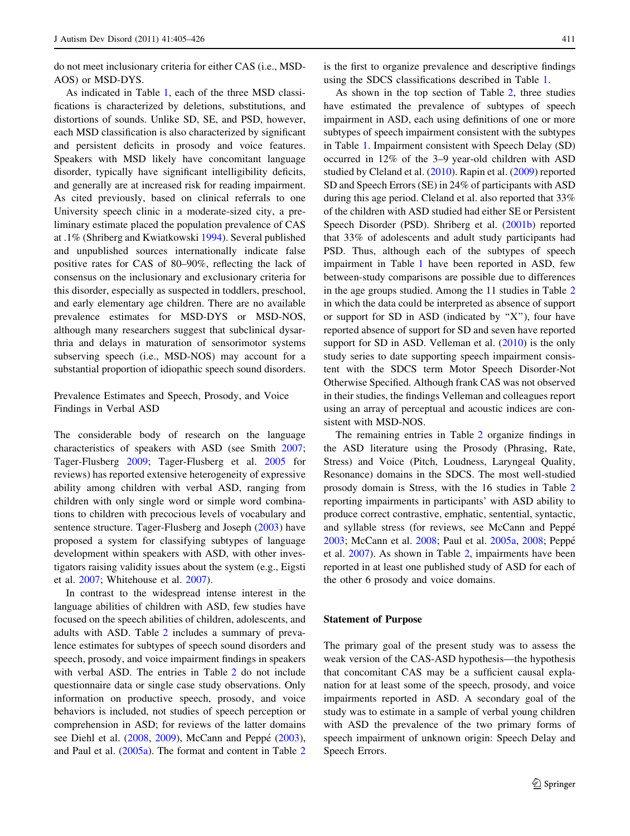do not meet inclusionary criteria for either CAS (i.e., MSD-AOS) or MSD-DYS.

As indicated in Table [1,](#page-2-0) each of the three MSD classifications is characterized by deletions, substitutions, and distortions of sounds. Unlike SD, SE, and PSD, however, each MSD classification is also characterized by significant and persistent deficits in prosody and voice features. Speakers with MSD likely have concomitant language disorder, typically have significant intelligibility deficits, and generally are at increased risk for reading impairment. As cited previously, based on clinical referrals to one University speech clinic in a moderate-sized city, a preliminary estimate placed the population prevalence of CAS at .1% (Shriberg and Kwiatkowski [1994](#page-20-0)). Several published and unpublished sources internationally indicate false positive rates for CAS of 80–90%, reflecting the lack of consensus on the inclusionary and exclusionary criteria for this disorder, especially as suspected in toddlers, preschool, and early elementary age children. There are no available prevalence estimates for MSD-DYS or MSD-NOS, although many researchers suggest that subclinical dysarthria and delays in maturation of sensorimotor systems subserving speech (i.e., MSD-NOS) may account for a substantial proportion of idiopathic speech sound disorders.

Prevalence Estimates and Speech, Prosody, and Voice Findings in Verbal ASD

The considerable body of research on the language characteristics of speakers with ASD (see Smith [2007](#page-20-0); Tager-Flusberg [2009;](#page-20-0) Tager-Flusberg et al. [2005](#page-20-0) for reviews) has reported extensive heterogeneity of expressive ability among children with verbal ASD, ranging from children with only single word or simple word combinations to children with precocious levels of vocabulary and sentence structure. Tager-Flusberg and Joseph [\(2003](#page-20-0)) have proposed a system for classifying subtypes of language development within speakers with ASD, with other investigators raising validity issues about the system (e.g., Eigsti et al. [2007;](#page-18-0) Whitehouse et al. [2007\)](#page-21-0).

In contrast to the widespread intense interest in the language abilities of children with ASD, few studies have focused on the speech abilities of children, adolescents, and adults with ASD. Table [2](#page-4-0) includes a summary of prevalence estimates for subtypes of speech sound disorders and speech, prosody, and voice impairment findings in speakers with verbal ASD. The entries in Table [2](#page-4-0) do not include questionnaire data or single case study observations. Only information on productive speech, prosody, and voice behaviors is included, not studies of speech perception or comprehension in ASD; for reviews of the latter domains see Diehl et al. ([2008,](#page-18-0) [2009\)](#page-18-0), McCann and Peppé [\(2003](#page-18-0)), and Paul et al. ([2005a](#page-19-0)). The format and content in Table [2](#page-4-0) is the first to organize prevalence and descriptive findings using the SDCS classifications described in Table [1](#page-2-0).

As shown in the top section of Table [2](#page-4-0), three studies have estimated the prevalence of subtypes of speech impairment in ASD, each using definitions of one or more subtypes of speech impairment consistent with the subtypes in Table [1.](#page-2-0) Impairment consistent with Speech Delay (SD) occurred in 12% of the 3–9 year-old children with ASD studied by Cleland et al. [\(2010](#page-18-0)). Rapin et al. ([2009](#page-19-0)) reported SD and Speech Errors (SE) in 24% of participants with ASD during this age period. Cleland et al. also reported that 33% of the children with ASD studied had either SE or Persistent Speech Disorder (PSD). Shriberg et al. [\(2001b](#page-20-0)) reported that 33% of adolescents and adult study participants had PSD. Thus, although each of the subtypes of speech impairment in Table [1](#page-2-0) have been reported in ASD, few between-study comparisons are possible due to differences in the age groups studied. Among the 11 studies in Table [2](#page-4-0) in which the data could be interpreted as absence of support or support for SD in ASD (indicated by  $"X"$ ), four have reported absence of support for SD and seven have reported support for SD in ASD. Velleman et al.  $(2010)$  $(2010)$  is the only study series to date supporting speech impairment consistent with the SDCS term Motor Speech Disorder-Not Otherwise Specified. Although frank CAS was not observed in their studies, the findings Velleman and colleagues report using an array of perceptual and acoustic indices are consistent with MSD-NOS.

The remaining entries in Table [2](#page-4-0) organize findings in the ASD literature using the Prosody (Phrasing, Rate, Stress) and Voice (Pitch, Loudness, Laryngeal Quality, Resonance) domains in the SDCS. The most well-studied prosody domain is Stress, with the 16 studies in Table [2](#page-4-0) reporting impairments in participants' with ASD ability to produce correct contrastive, emphatic, sentential, syntactic, and syllable stress (for reviews, see McCann and Peppe´ [2003](#page-18-0); McCann et al. [2008](#page-18-0); Paul et al. [2005a](#page-19-0), [2008;](#page-19-0) Peppe´ et al. [2007\)](#page-19-0). As shown in Table [2](#page-4-0), impairments have been reported in at least one published study of ASD for each of the other 6 prosody and voice domains.

#### Statement of Purpose

The primary goal of the present study was to assess the weak version of the CAS-ASD hypothesis—the hypothesis that concomitant CAS may be a sufficient causal explanation for at least some of the speech, prosody, and voice impairments reported in ASD. A secondary goal of the study was to estimate in a sample of verbal young children with ASD the prevalence of the two primary forms of speech impairment of unknown origin: Speech Delay and Speech Errors.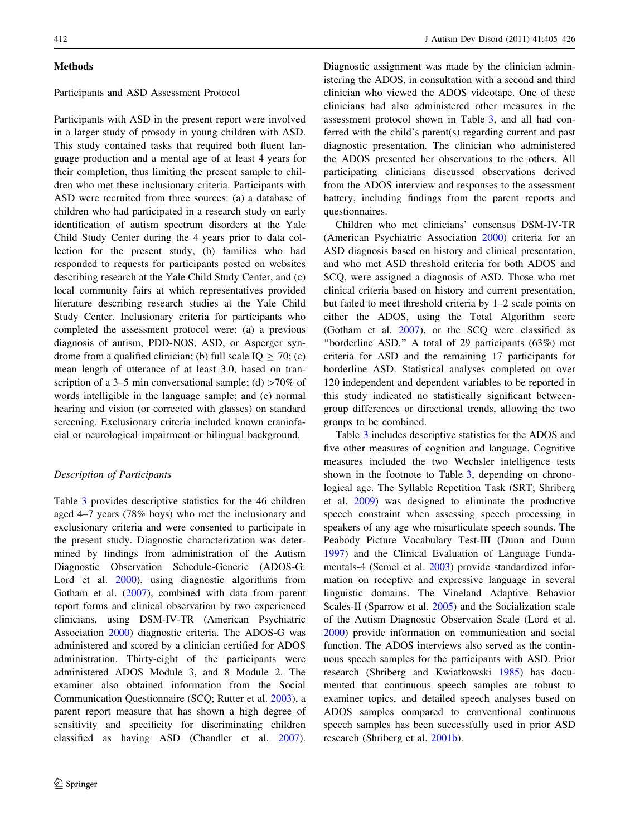#### **Methods**

# Participants and ASD Assessment Protocol

Participants with ASD in the present report were involved in a larger study of prosody in young children with ASD. This study contained tasks that required both fluent language production and a mental age of at least 4 years for their completion, thus limiting the present sample to children who met these inclusionary criteria. Participants with ASD were recruited from three sources: (a) a database of children who had participated in a research study on early identification of autism spectrum disorders at the Yale Child Study Center during the 4 years prior to data collection for the present study, (b) families who had responded to requests for participants posted on websites describing research at the Yale Child Study Center, and (c) local community fairs at which representatives provided literature describing research studies at the Yale Child Study Center. Inclusionary criteria for participants who completed the assessment protocol were: (a) a previous diagnosis of autism, PDD-NOS, ASD, or Asperger syndrome from a qualified clinician; (b) full scale  $IQ > 70$ ; (c) mean length of utterance of at least 3.0, based on transcription of a 3–5 min conversational sample; (d)  $>70\%$  of words intelligible in the language sample; and (e) normal hearing and vision (or corrected with glasses) on standard screening. Exclusionary criteria included known craniofacial or neurological impairment or bilingual background.

# Description of Participants

Table [3](#page-8-0) provides descriptive statistics for the 46 children aged 4–7 years (78% boys) who met the inclusionary and exclusionary criteria and were consented to participate in the present study. Diagnostic characterization was determined by findings from administration of the Autism Diagnostic Observation Schedule-Generic (ADOS-G: Lord et al. [2000](#page-18-0)), using diagnostic algorithms from Gotham et al. [\(2007](#page-18-0)), combined with data from parent report forms and clinical observation by two experienced clinicians, using DSM-IV-TR (American Psychiatric Association [2000\)](#page-17-0) diagnostic criteria. The ADOS-G was administered and scored by a clinician certified for ADOS administration. Thirty-eight of the participants were administered ADOS Module 3, and 8 Module 2. The examiner also obtained information from the Social Communication Questionnaire (SCQ; Rutter et al. [2003](#page-19-0)), a parent report measure that has shown a high degree of sensitivity and specificity for discriminating children classified as having ASD (Chandler et al. [2007](#page-17-0)).

Diagnostic assignment was made by the clinician administering the ADOS, in consultation with a second and third clinician who viewed the ADOS videotape. One of these clinicians had also administered other measures in the assessment protocol shown in Table [3,](#page-8-0) and all had conferred with the child's parent(s) regarding current and past diagnostic presentation. The clinician who administered the ADOS presented her observations to the others. All participating clinicians discussed observations derived from the ADOS interview and responses to the assessment battery, including findings from the parent reports and questionnaires.

Children who met clinicians' consensus DSM-IV-TR (American Psychiatric Association [2000\)](#page-17-0) criteria for an ASD diagnosis based on history and clinical presentation, and who met ASD threshold criteria for both ADOS and SCQ, were assigned a diagnosis of ASD. Those who met clinical criteria based on history and current presentation, but failed to meet threshold criteria by 1–2 scale points on either the ADOS, using the Total Algorithm score (Gotham et al. [2007\)](#page-18-0), or the SCQ were classified as ''borderline ASD.'' A total of 29 participants (63%) met criteria for ASD and the remaining 17 participants for borderline ASD. Statistical analyses completed on over 120 independent and dependent variables to be reported in this study indicated no statistically significant betweengroup differences or directional trends, allowing the two groups to be combined.

Table [3](#page-8-0) includes descriptive statistics for the ADOS and five other measures of cognition and language. Cognitive measures included the two Wechsler intelligence tests shown in the footnote to Table [3](#page-8-0), depending on chronological age. The Syllable Repetition Task (SRT; Shriberg et al. [2009\)](#page-20-0) was designed to eliminate the productive speech constraint when assessing speech processing in speakers of any age who misarticulate speech sounds. The Peabody Picture Vocabulary Test-III (Dunn and Dunn [1997](#page-18-0)) and the Clinical Evaluation of Language Fundamentals-4 (Semel et al. [2003\)](#page-19-0) provide standardized information on receptive and expressive language in several linguistic domains. The Vineland Adaptive Behavior Scales-II (Sparrow et al. [2005\)](#page-20-0) and the Socialization scale of the Autism Diagnostic Observation Scale (Lord et al. [2000](#page-18-0)) provide information on communication and social function. The ADOS interviews also served as the continuous speech samples for the participants with ASD. Prior research (Shriberg and Kwiatkowski [1985\)](#page-20-0) has documented that continuous speech samples are robust to examiner topics, and detailed speech analyses based on ADOS samples compared to conventional continuous speech samples has been successfully used in prior ASD research (Shriberg et al. [2001b\)](#page-20-0).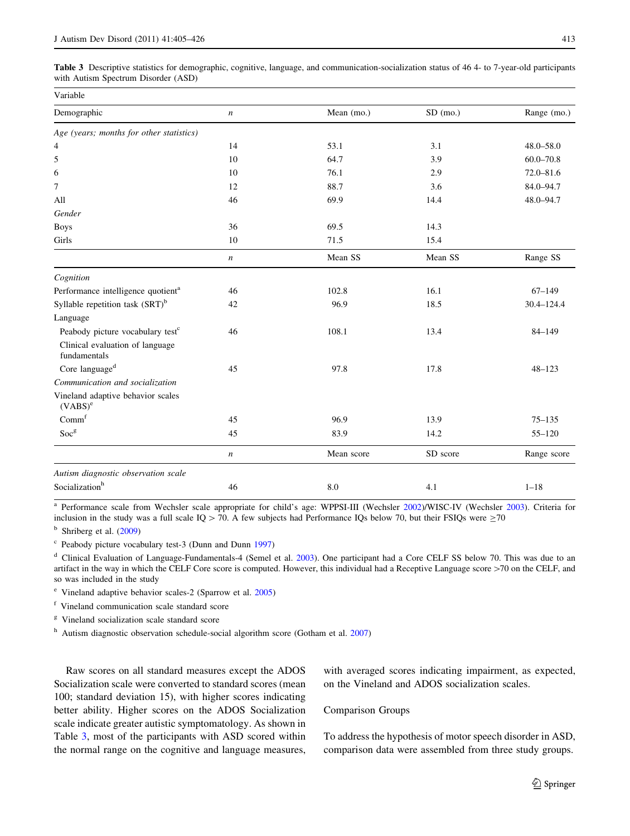<span id="page-8-0"></span>Table 3 Descriptive statistics for demographic, cognitive, language, and communication-socialization status of 46 4- to 7-year-old participants with Autism Spectrum Disorder (ASD)

| Variable                                        |                  |            |            |               |
|-------------------------------------------------|------------------|------------|------------|---------------|
| Demographic                                     | $\boldsymbol{n}$ | Mean (mo.) | $SD$ (mo.) | Range (mo.)   |
| Age (years; months for other statistics)        |                  |            |            |               |
| 4                                               | 14               | 53.1       | 3.1        | $48.0 - 58.0$ |
| 5                                               | 10               | 64.7       | 3.9        | $60.0 - 70.8$ |
| 6                                               | 10               | 76.1       | 2.9        | $72.0 - 81.6$ |
| 7                                               | 12               | 88.7       | 3.6        | 84.0-94.7     |
| All                                             | 46               | 69.9       | 14.4       | 48.0-94.7     |
| Gender                                          |                  |            |            |               |
| <b>Boys</b>                                     | 36               | 69.5       | 14.3       |               |
| Girls                                           | 10               | 71.5       | 15.4       |               |
|                                                 | $\boldsymbol{n}$ | Mean SS    | Mean SS    | Range SS      |
| Cognition                                       |                  |            |            |               |
| Performance intelligence quotient <sup>a</sup>  | 46               | 102.8      | 16.1       | $67 - 149$    |
| Syllable repetition task $(SRT)^b$              | 42               | 96.9       | 18.5       | 30.4-124.4    |
| Language                                        |                  |            |            |               |
| Peabody picture vocabulary test <sup>c</sup>    | 46               | 108.1      | 13.4       | $84 - 149$    |
| Clinical evaluation of language<br>fundamentals |                  |            |            |               |
| Core language <sup>d</sup>                      | 45               | 97.8       | 17.8       | $48 - 123$    |
| Communication and socialization                 |                  |            |            |               |
| Vineland adaptive behavior scales<br>$(VABS)^e$ |                  |            |            |               |
| $\mathrm{Comm}^{\mathrm{f}}$                    | 45               | 96.9       | 13.9       | $75 - 135$    |
| Soc <sup>g</sup>                                | 45               | 83.9       | 14.2       | $55 - 120$    |
|                                                 | $\boldsymbol{n}$ | Mean score | SD score   | Range score   |
| Autism diagnostic observation scale             |                  |            |            |               |
| Socialization <sup>h</sup>                      | 46               | 8.0        | 4.1        | $1 - 18$      |

<sup>a</sup> Performance scale from Wechsler scale appropriate for child's age: WPPSI-III (Wechsler [2002\)](#page-21-0)/WISC-IV (Wechsler [2003](#page-21-0)). Criteria for inclusion in the study was a full scale IQ  $>$  70. A few subjects had Performance IQs below 70, but their FSIQs were  $\geq$  70

<sup>b</sup> Shriberg et al. [\(2009](#page-20-0))

<sup>c</sup> Peabody picture vocabulary test-3 (Dunn and Dunn [1997\)](#page-18-0)

<sup>d</sup> Clinical Evaluation of Language-Fundamentals-4 (Semel et al. [2003](#page-19-0)). One participant had a Core CELF SS below 70. This was due to an artifact in the way in which the CELF Core score is computed. However, this individual had a Receptive Language score >70 on the CELF, and so was included in the study

<sup>e</sup> Vineland adaptive behavior scales-2 (Sparrow et al. [2005\)](#page-20-0)

<sup>f</sup> Vineland communication scale standard score

<sup>g</sup> Vineland socialization scale standard score

<sup>h</sup> Autism diagnostic observation schedule-social algorithm score (Gotham et al. [2007](#page-18-0))

Raw scores on all standard measures except the ADOS Socialization scale were converted to standard scores (mean 100; standard deviation 15), with higher scores indicating better ability. Higher scores on the ADOS Socialization scale indicate greater autistic symptomatology. As shown in Table 3, most of the participants with ASD scored within the normal range on the cognitive and language measures, with averaged scores indicating impairment, as expected, on the Vineland and ADOS socialization scales.

# Comparison Groups

To address the hypothesis of motor speech disorder in ASD, comparison data were assembled from three study groups.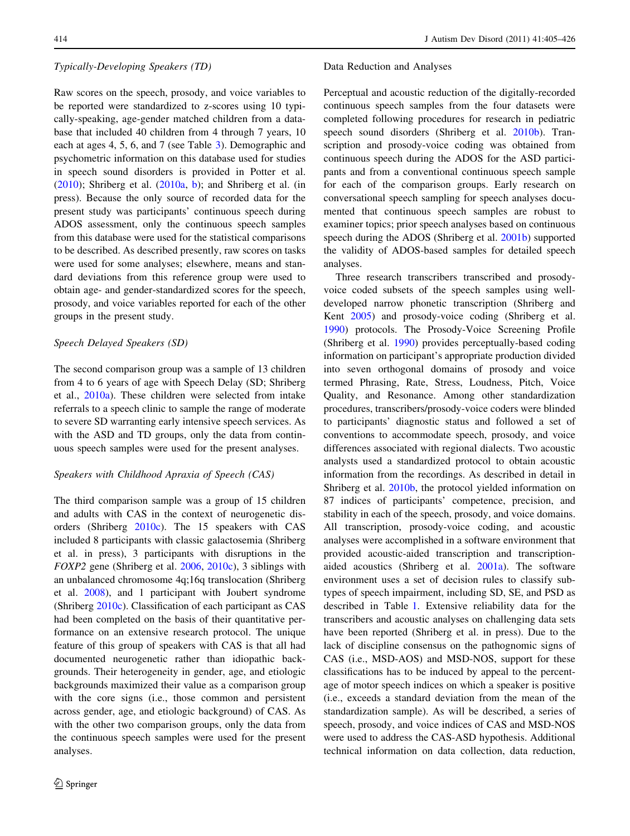## Typically-Developing Speakers (TD)

Raw scores on the speech, prosody, and voice variables to be reported were standardized to z-scores using 10 typically-speaking, age-gender matched children from a database that included 40 children from 4 through 7 years, 10 each at ages 4, 5, 6, and 7 (see Table [3\)](#page-8-0). Demographic and psychometric information on this database used for studies in speech sound disorders is provided in Potter et al. [\(2010](#page-19-0)); Shriberg et al. ([2010a](#page-20-0), [b\)](#page-20-0); and Shriberg et al. (in press). Because the only source of recorded data for the present study was participants' continuous speech during ADOS assessment, only the continuous speech samples from this database were used for the statistical comparisons to be described. As described presently, raw scores on tasks were used for some analyses; elsewhere, means and standard deviations from this reference group were used to obtain age- and gender-standardized scores for the speech, prosody, and voice variables reported for each of the other groups in the present study.

#### Speech Delayed Speakers (SD)

The second comparison group was a sample of 13 children from 4 to 6 years of age with Speech Delay (SD; Shriberg et al., [2010a\)](#page-20-0). These children were selected from intake referrals to a speech clinic to sample the range of moderate to severe SD warranting early intensive speech services. As with the ASD and TD groups, only the data from continuous speech samples were used for the present analyses.

## Speakers with Childhood Apraxia of Speech (CAS)

The third comparison sample was a group of 15 children and adults with CAS in the context of neurogenetic disorders (Shriberg [2010c\)](#page-20-0). The 15 speakers with CAS included 8 participants with classic galactosemia (Shriberg et al. in press), 3 participants with disruptions in the FOXP2 gene (Shriberg et al. [2006](#page-20-0), [2010c](#page-20-0)), 3 siblings with an unbalanced chromosome 4q;16q translocation (Shriberg et al. [2008\)](#page-20-0), and 1 participant with Joubert syndrome (Shriberg [2010c\)](#page-20-0). Classification of each participant as CAS had been completed on the basis of their quantitative performance on an extensive research protocol. The unique feature of this group of speakers with CAS is that all had documented neurogenetic rather than idiopathic backgrounds. Their heterogeneity in gender, age, and etiologic backgrounds maximized their value as a comparison group with the core signs (i.e., those common and persistent across gender, age, and etiologic background) of CAS. As with the other two comparison groups, only the data from the continuous speech samples were used for the present analyses.

#### Data Reduction and Analyses

Perceptual and acoustic reduction of the digitally-recorded continuous speech samples from the four datasets were completed following procedures for research in pediatric speech sound disorders (Shriberg et al. [2010b](#page-20-0)). Transcription and prosody-voice coding was obtained from continuous speech during the ADOS for the ASD participants and from a conventional continuous speech sample for each of the comparison groups. Early research on conversational speech sampling for speech analyses documented that continuous speech samples are robust to examiner topics; prior speech analyses based on continuous speech during the ADOS (Shriberg et al. [2001b\)](#page-20-0) supported the validity of ADOS-based samples for detailed speech analyses.

Three research transcribers transcribed and prosodyvoice coded subsets of the speech samples using welldeveloped narrow phonetic transcription (Shriberg and Kent [2005](#page-20-0)) and prosody-voice coding (Shriberg et al. [1990](#page-20-0)) protocols. The Prosody-Voice Screening Profile (Shriberg et al. [1990](#page-20-0)) provides perceptually-based coding information on participant's appropriate production divided into seven orthogonal domains of prosody and voice termed Phrasing, Rate, Stress, Loudness, Pitch, Voice Quality, and Resonance. Among other standardization procedures, transcribers/prosody-voice coders were blinded to participants' diagnostic status and followed a set of conventions to accommodate speech, prosody, and voice differences associated with regional dialects. Two acoustic analysts used a standardized protocol to obtain acoustic information from the recordings. As described in detail in Shriberg et al. [2010b,](#page-20-0) the protocol yielded information on 87 indices of participants' competence, precision, and stability in each of the speech, prosody, and voice domains. All transcription, prosody-voice coding, and acoustic analyses were accomplished in a software environment that provided acoustic-aided transcription and transcriptionaided acoustics (Shriberg et al. [2001a\)](#page-20-0). The software environment uses a set of decision rules to classify subtypes of speech impairment, including SD, SE, and PSD as described in Table [1.](#page-2-0) Extensive reliability data for the transcribers and acoustic analyses on challenging data sets have been reported (Shriberg et al. in press). Due to the lack of discipline consensus on the pathognomic signs of CAS (i.e., MSD-AOS) and MSD-NOS, support for these classifications has to be induced by appeal to the percentage of motor speech indices on which a speaker is positive (i.e., exceeds a standard deviation from the mean of the standardization sample). As will be described, a series of speech, prosody, and voice indices of CAS and MSD-NOS were used to address the CAS-ASD hypothesis. Additional technical information on data collection, data reduction,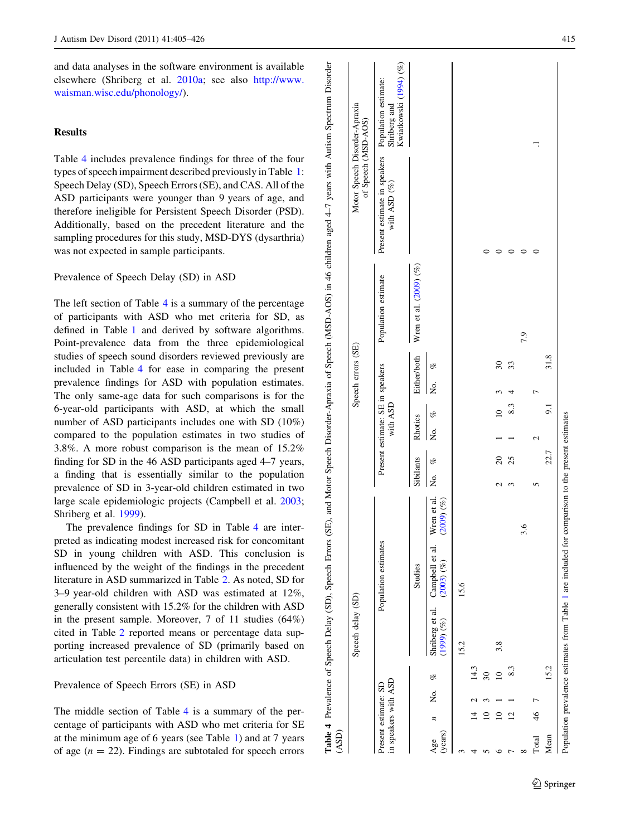<span id="page-10-0"></span>and data analyses in the software environment is available elsewhere (Shriberg et al. [2010a;](#page-20-0) see also [http://www.](http://www.waisman.wisc.edu/phonology/) [waisman.wisc.edu/phonology/\)](http://www.waisman.wisc.edu/phonology/).

# Results

Table 4 includes prevalence findings for three of the four types of speech impairment described previously in Table [1](#page-2-0) : Speech Delay (SD), Speech Errors (SE), and CAS. All of the ASD participants were younger than 9 years of age, and therefore ineligible for Persistent Speech Disorder (PSD). Additionally, based on the precedent literature and the sampling procedures for this study, MSD-DYS (dysarthria) was not expected in sample participants.

# Prevalence of Speech Delay (SD) in ASD

The left section of Table 4 is a summary of the percentage of participants with ASD who met criteria for SD, as defined in Table [1](#page-2-0) and derived by software algorithms. Point-prevalence data from the three epidemiological studies of speech sound disorders reviewed previously are included in Table 4 for ease in comparing the present prevalence findings for ASD with population estimates. The only same-age data for such comparisons is for the 6-year-old participants with ASD, at which the small number of ASD participants includes one with SD (10%) compared to the population estimates in two studies of 3.8%. A more robust comparison is the mean of 15.2% finding for SD in the 46 ASD participants aged 4–7 years, a finding that is essentially similar to the population prevalence of SD in 3-year-old children estimated in two large scale epidemiologic projects (Campbell et al. [2003](#page-17-0); Shriberg et al. [1999](#page-20-0)).

The prevalence findings for SD in Table 4 are interpreted as indicating modest increased risk for concomitant SD in young children with ASD. This conclusion is influenced by the weight of the findings in the precedent literature in ASD summarized in Table [2](#page-4-0). As noted, SD for 3–9 year-old children with ASD was estimated at 12%, generally consistent with 15.2% for the children with ASD in the present sample. Moreover, 7 of 11 studies (64%) cited in Table [2](#page-4-0) reported means or percentage data supporting increased prevalence of SD (primarily based on articulation test percentile data) in children with ASD.

# Prevalence of Speech Errors (SE) in ASD

The middle section of Table 4 is a summary of the percentage of participants with ASD who met criteria for SE at the minimum age of 6 years (see Table [1\)](#page-2-0) and at 7 years of age  $(n = 22)$ . Findings are subtotaled for speech errors

| in speakers with ASD<br>Present estimate: SD           |                                   | Speech delay (SD)                  |                               |                   |                                              | Speech errors (SE) |                            | Motor Speech Disorder-Apraxia<br>of Speech (MSD-AOS)                 |                                        |
|--------------------------------------------------------|-----------------------------------|------------------------------------|-------------------------------|-------------------|----------------------------------------------|--------------------|----------------------------|----------------------------------------------------------------------|----------------------------------------|
|                                                        |                                   | Population estimates               |                               |                   | Present estimate: SE in speakers<br>with ASD |                    | Population estimate        | Present estimate in speakers Population estimate:<br>with ASD $(\%)$ | Kwiatkowski (1994) (%)<br>Shriberg and |
|                                                        |                                   | Studies                            |                               | Sibilants         | Rhotics                                      | Either/both        | Wren et al. $(2009)$ $(%)$ |                                                                      |                                        |
| of<br>Ź.<br>$\overline{\phantom{a}}$<br>(years)<br>Age | Shriberg et al.<br>$(1999)$ $(%)$ | Campbell et al.<br>$(2003)$ $(\%)$ | Wren et al.<br>$(2009)$ $(%)$ | of<br>Ż.          | No. %                                        | of<br>ż.           |                            |                                                                      |                                        |
|                                                        | 15.2                              | 15.6                               |                               |                   |                                              |                    |                            |                                                                      |                                        |
| 14.3<br>$\overline{4}$                                 |                                   |                                    |                               |                   |                                              |                    |                            |                                                                      |                                        |
| $\overline{30}$<br>$\overline{a}$                      |                                   |                                    |                               |                   |                                              |                    |                            |                                                                      |                                        |
| $\overline{10}$<br>$\overline{10}$                     | 3.8                               |                                    |                               | 20<br>$\mathbf 2$ | $\overline{10}$                              | $\overline{30}$    |                            |                                                                      |                                        |
| 8.3<br>$\overline{12}$                                 |                                   |                                    |                               | 25                | 8.3                                          | 33                 |                            |                                                                      |                                        |
|                                                        |                                   |                                    | 3.6                           |                   |                                              |                    | 7.9                        | $\circ$                                                              |                                        |
| $\overline{a}$<br>$\frac{4}{6}$<br>Total               |                                   |                                    |                               | 5                 | $\mathcal{C}$                                | ŗ                  |                            | 0                                                                    |                                        |
| 15.2<br>Mean                                           |                                   |                                    |                               | 22.7              | 9.1                                          | 31.8               |                            |                                                                      |                                        |

Table 4 Prevalence of Speech Delay (SD), Speech Errors (SE), and Motor Speech Disorder-Apraxia of Speech (MSD-AOS) in 46 children aged 4–7 years with Autism Spectrum Disorder

Table 4 Prevalence of Speech Delay (SD), Speech Errors (SE), and Motor Speech Disorder-Apraxia of Speech (MSD-AOS) in 46 children aged 4-7 years with Autism Spectrum Disorder

# $\bigcirc$  Springer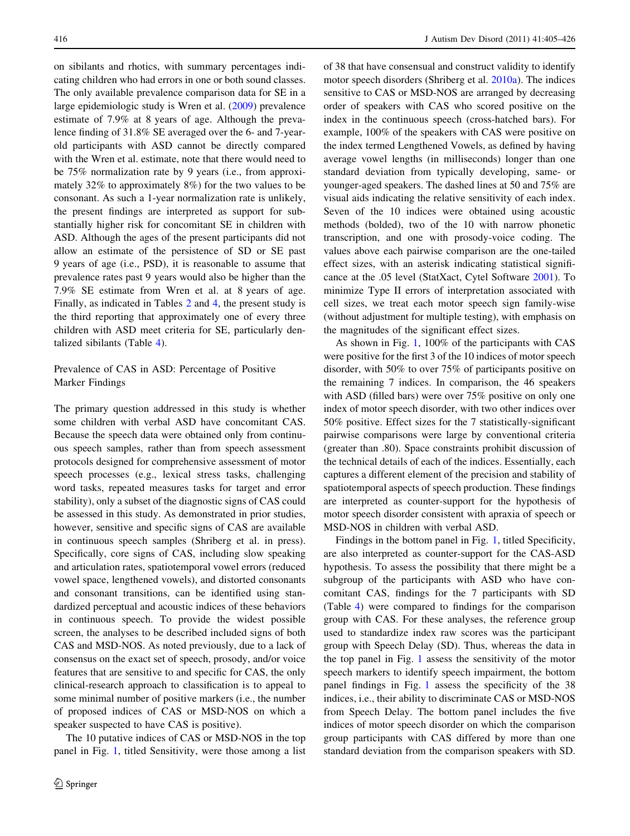on sibilants and rhotics, with summary percentages indicating children who had errors in one or both sound classes. The only available prevalence comparison data for SE in a large epidemiologic study is Wren et al. ([2009](#page-21-0)) prevalence estimate of 7.9% at 8 years of age. Although the prevalence finding of 31.8% SE averaged over the 6- and 7-yearold participants with ASD cannot be directly compared with the Wren et al. estimate, note that there would need to be 75% normalization rate by 9 years (i.e., from approximately 32% to approximately 8%) for the two values to be consonant. As such a 1-year normalization rate is unlikely, the present findings are interpreted as support for substantially higher risk for concomitant SE in children with ASD. Although the ages of the present participants did not allow an estimate of the persistence of SD or SE past 9 years of age (i.e., PSD), it is reasonable to assume that prevalence rates past 9 years would also be higher than the 7.9% SE estimate from Wren et al. at 8 years of age. Finally, as indicated in Tables [2](#page-4-0) and [4](#page-10-0), the present study is the third reporting that approximately one of every three children with ASD meet criteria for SE, particularly dentalized sibilants (Table [4](#page-10-0)).

# Prevalence of CAS in ASD: Percentage of Positive Marker Findings

The primary question addressed in this study is whether some children with verbal ASD have concomitant CAS. Because the speech data were obtained only from continuous speech samples, rather than from speech assessment protocols designed for comprehensive assessment of motor speech processes (e.g., lexical stress tasks, challenging word tasks, repeated measures tasks for target and error stability), only a subset of the diagnostic signs of CAS could be assessed in this study. As demonstrated in prior studies, however, sensitive and specific signs of CAS are available in continuous speech samples (Shriberg et al. in press). Specifically, core signs of CAS, including slow speaking and articulation rates, spatiotemporal vowel errors (reduced vowel space, lengthened vowels), and distorted consonants and consonant transitions, can be identified using standardized perceptual and acoustic indices of these behaviors in continuous speech. To provide the widest possible screen, the analyses to be described included signs of both CAS and MSD-NOS. As noted previously, due to a lack of consensus on the exact set of speech, prosody, and/or voice features that are sensitive to and specific for CAS, the only clinical-research approach to classification is to appeal to some minimal number of positive markers (i.e., the number of proposed indices of CAS or MSD-NOS on which a speaker suspected to have CAS is positive).

The 10 putative indices of CAS or MSD-NOS in the top panel in Fig. [1,](#page-12-0) titled Sensitivity, were those among a list of 38 that have consensual and construct validity to identify motor speech disorders (Shriberg et al. [2010a](#page-20-0)). The indices sensitive to CAS or MSD-NOS are arranged by decreasing order of speakers with CAS who scored positive on the index in the continuous speech (cross-hatched bars). For example, 100% of the speakers with CAS were positive on the index termed Lengthened Vowels, as defined by having average vowel lengths (in milliseconds) longer than one standard deviation from typically developing, same- or younger-aged speakers. The dashed lines at 50 and 75% are visual aids indicating the relative sensitivity of each index. Seven of the 10 indices were obtained using acoustic methods (bolded), two of the 10 with narrow phonetic transcription, and one with prosody-voice coding. The values above each pairwise comparison are the one-tailed effect sizes, with an asterisk indicating statistical significance at the .05 level (StatXact, Cytel Software [2001](#page-18-0)). To minimize Type II errors of interpretation associated with cell sizes, we treat each motor speech sign family-wise (without adjustment for multiple testing), with emphasis on the magnitudes of the significant effect sizes.

As shown in Fig. [1,](#page-12-0) 100% of the participants with CAS were positive for the first 3 of the 10 indices of motor speech disorder, with 50% to over 75% of participants positive on the remaining 7 indices. In comparison, the 46 speakers with ASD (filled bars) were over 75% positive on only one index of motor speech disorder, with two other indices over 50% positive. Effect sizes for the 7 statistically-significant pairwise comparisons were large by conventional criteria (greater than .80). Space constraints prohibit discussion of the technical details of each of the indices. Essentially, each captures a different element of the precision and stability of spatiotemporal aspects of speech production. These findings are interpreted as counter-support for the hypothesis of motor speech disorder consistent with apraxia of speech or MSD-NOS in children with verbal ASD.

Findings in the bottom panel in Fig. [1](#page-12-0), titled Specificity, are also interpreted as counter-support for the CAS-ASD hypothesis. To assess the possibility that there might be a subgroup of the participants with ASD who have concomitant CAS, findings for the 7 participants with SD (Table [4\)](#page-10-0) were compared to findings for the comparison group with CAS. For these analyses, the reference group used to standardize index raw scores was the participant group with Speech Delay (SD). Thus, whereas the data in the top panel in Fig. [1](#page-12-0) assess the sensitivity of the motor speech markers to identify speech impairment, the bottom panel findings in Fig. [1](#page-12-0) assess the specificity of the 38 indices, i.e., their ability to discriminate CAS or MSD-NOS from Speech Delay. The bottom panel includes the five indices of motor speech disorder on which the comparison group participants with CAS differed by more than one standard deviation from the comparison speakers with SD.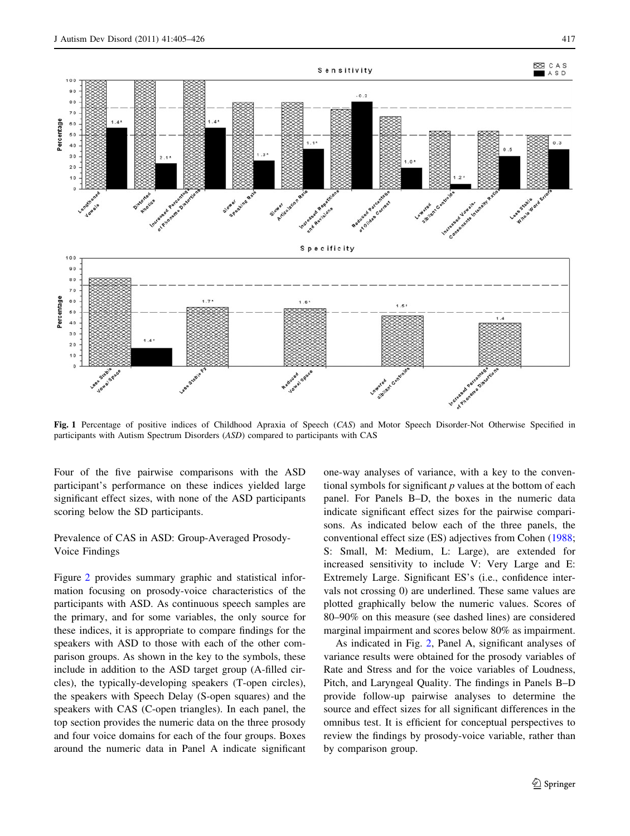<span id="page-12-0"></span>

Fig. 1 Percentage of positive indices of Childhood Apraxia of Speech (CAS) and Motor Speech Disorder-Not Otherwise Specified in participants with Autism Spectrum Disorders (ASD) compared to participants with CAS

Four of the five pairwise comparisons with the ASD participant's performance on these indices yielded large significant effect sizes, with none of the ASD participants scoring below the SD participants.

Prevalence of CAS in ASD: Group-Averaged Prosody-Voice Findings

Figure [2](#page-13-0) provides summary graphic and statistical information focusing on prosody-voice characteristics of the participants with ASD. As continuous speech samples are the primary, and for some variables, the only source for these indices, it is appropriate to compare findings for the speakers with ASD to those with each of the other comparison groups. As shown in the key to the symbols, these include in addition to the ASD target group (A-filled circles), the typically-developing speakers (T-open circles), the speakers with Speech Delay (S-open squares) and the speakers with CAS (C-open triangles). In each panel, the top section provides the numeric data on the three prosody and four voice domains for each of the four groups. Boxes around the numeric data in Panel A indicate significant one-way analyses of variance, with a key to the conventional symbols for significant  $p$  values at the bottom of each panel. For Panels B–D, the boxes in the numeric data indicate significant effect sizes for the pairwise comparisons. As indicated below each of the three panels, the conventional effect size (ES) adjectives from Cohen [\(1988](#page-18-0); S: Small, M: Medium, L: Large), are extended for increased sensitivity to include V: Very Large and E: Extremely Large. Significant ES's (i.e., confidence intervals not crossing 0) are underlined. These same values are plotted graphically below the numeric values. Scores of 80–90% on this measure (see dashed lines) are considered marginal impairment and scores below 80% as impairment.

As indicated in Fig. [2,](#page-13-0) Panel A, significant analyses of variance results were obtained for the prosody variables of Rate and Stress and for the voice variables of Loudness, Pitch, and Laryngeal Quality. The findings in Panels B–D provide follow-up pairwise analyses to determine the source and effect sizes for all significant differences in the omnibus test. It is efficient for conceptual perspectives to review the findings by prosody-voice variable, rather than by comparison group.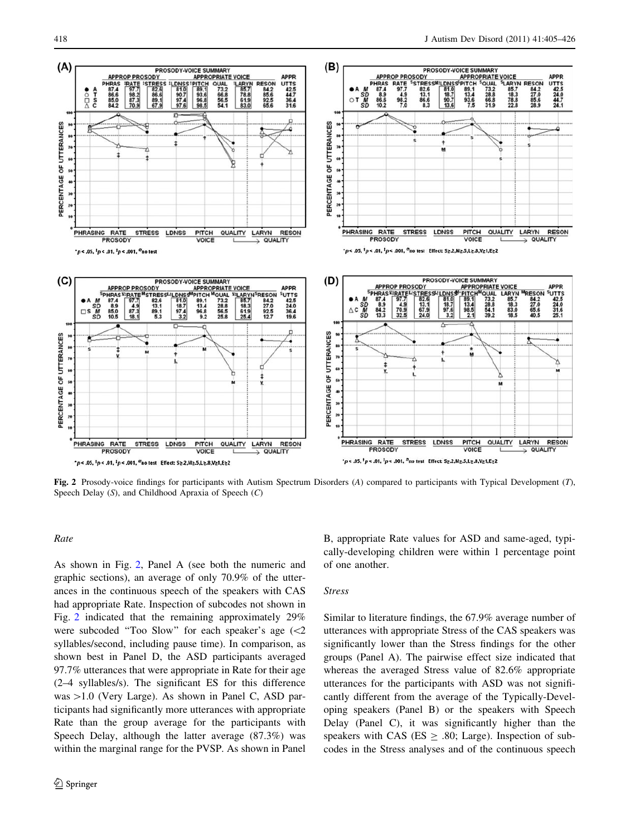<span id="page-13-0"></span>

Fig. 2 Prosody-voice findings for participants with Autism Spectrum Disorders (A) compared to participants with Typical Development (T), Speech Delay  $(S)$ , and Childhood Apraxia of Speech  $(C)$ 

#### Rate

As shown in Fig. 2, Panel A (see both the numeric and graphic sections), an average of only 70.9% of the utterances in the continuous speech of the speakers with CAS had appropriate Rate. Inspection of subcodes not shown in Fig. 2 indicated that the remaining approximately 29% were subcoded "Too Slow" for each speaker's age  $\ll 2$ syllables/second, including pause time). In comparison, as shown best in Panel D, the ASD participants averaged 97.7% utterances that were appropriate in Rate for their age (2–4 syllables/s). The significant ES for this difference was  $>1.0$  (Very Large). As shown in Panel C, ASD participants had significantly more utterances with appropriate Rate than the group average for the participants with Speech Delay, although the latter average (87.3%) was within the marginal range for the PVSP. As shown in Panel B, appropriate Rate values for ASD and same-aged, typically-developing children were within 1 percentage point of one another.

# Stress

Similar to literature findings, the 67.9% average number of utterances with appropriate Stress of the CAS speakers was significantly lower than the Stress findings for the other groups (Panel A). The pairwise effect size indicated that whereas the averaged Stress value of 82.6% appropriate utterances for the participants with ASD was not significantly different from the average of the Typically-Developing speakers (Panel B) or the speakers with Speech Delay (Panel C), it was significantly higher than the speakers with CAS (ES  $\geq$  .80; Large). Inspection of subcodes in the Stress analyses and of the continuous speech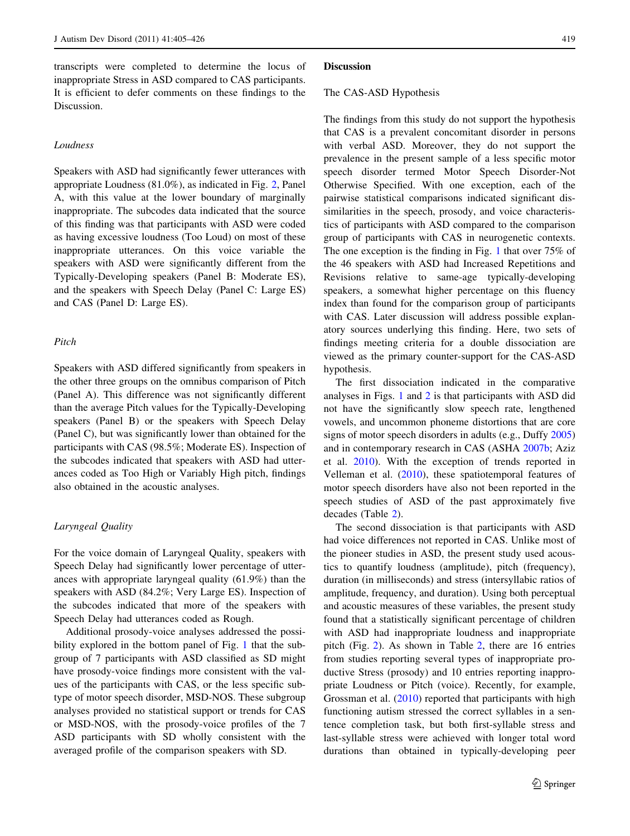transcripts were completed to determine the locus of inappropriate Stress in ASD compared to CAS participants. It is efficient to defer comments on these findings to the Discussion.

# Loudness

Speakers with ASD had significantly fewer utterances with appropriate Loudness (81.0%), as indicated in Fig. [2,](#page-13-0) Panel A, with this value at the lower boundary of marginally inappropriate. The subcodes data indicated that the source of this finding was that participants with ASD were coded as having excessive loudness (Too Loud) on most of these inappropriate utterances. On this voice variable the speakers with ASD were significantly different from the Typically-Developing speakers (Panel B: Moderate ES), and the speakers with Speech Delay (Panel C: Large ES) and CAS (Panel D: Large ES).

# Pitch

Speakers with ASD differed significantly from speakers in the other three groups on the omnibus comparison of Pitch (Panel A). This difference was not significantly different than the average Pitch values for the Typically-Developing speakers (Panel B) or the speakers with Speech Delay (Panel C), but was significantly lower than obtained for the participants with CAS (98.5%; Moderate ES). Inspection of the subcodes indicated that speakers with ASD had utterances coded as Too High or Variably High pitch, findings also obtained in the acoustic analyses.

#### Laryngeal Quality

For the voice domain of Laryngeal Quality, speakers with Speech Delay had significantly lower percentage of utterances with appropriate laryngeal quality (61.9%) than the speakers with ASD (84.2%; Very Large ES). Inspection of the subcodes indicated that more of the speakers with Speech Delay had utterances coded as Rough.

Additional prosody-voice analyses addressed the possibility explored in the bottom panel of Fig. [1](#page-12-0) that the subgroup of 7 participants with ASD classified as SD might have prosody-voice findings more consistent with the values of the participants with CAS, or the less specific subtype of motor speech disorder, MSD-NOS. These subgroup analyses provided no statistical support or trends for CAS or MSD-NOS, with the prosody-voice profiles of the 7 ASD participants with SD wholly consistent with the averaged profile of the comparison speakers with SD.

#### **Discussion**

#### The CAS-ASD Hypothesis

The findings from this study do not support the hypothesis that CAS is a prevalent concomitant disorder in persons with verbal ASD. Moreover, they do not support the prevalence in the present sample of a less specific motor speech disorder termed Motor Speech Disorder-Not Otherwise Specified. With one exception, each of the pairwise statistical comparisons indicated significant dissimilarities in the speech, prosody, and voice characteristics of participants with ASD compared to the comparison group of participants with CAS in neurogenetic contexts. The one exception is the finding in Fig. [1](#page-12-0) that over 75% of the 46 speakers with ASD had Increased Repetitions and Revisions relative to same-age typically-developing speakers, a somewhat higher percentage on this fluency index than found for the comparison group of participants with CAS. Later discussion will address possible explanatory sources underlying this finding. Here, two sets of findings meeting criteria for a double dissociation are viewed as the primary counter-support for the CAS-ASD hypothesis.

The first dissociation indicated in the comparative analyses in Figs. [1](#page-12-0) and [2](#page-13-0) is that participants with ASD did not have the significantly slow speech rate, lengthened vowels, and uncommon phoneme distortions that are core signs of motor speech disorders in adults (e.g., Duffy [2005\)](#page-18-0) and in contemporary research in CAS (ASHA [2007b;](#page-17-0) Aziz et al. [2010](#page-17-0)). With the exception of trends reported in Velleman et al. ([2010\)](#page-20-0), these spatiotemporal features of motor speech disorders have also not been reported in the speech studies of ASD of the past approximately five decades (Table [2\)](#page-4-0).

The second dissociation is that participants with ASD had voice differences not reported in CAS. Unlike most of the pioneer studies in ASD, the present study used acoustics to quantify loudness (amplitude), pitch (frequency), duration (in milliseconds) and stress (intersyllabic ratios of amplitude, frequency, and duration). Using both perceptual and acoustic measures of these variables, the present study found that a statistically significant percentage of children with ASD had inappropriate loudness and inappropriate pitch (Fig. [2\)](#page-13-0). As shown in Table [2](#page-4-0), there are 16 entries from studies reporting several types of inappropriate productive Stress (prosody) and 10 entries reporting inappropriate Loudness or Pitch (voice). Recently, for example, Grossman et al. ([2010\)](#page-18-0) reported that participants with high functioning autism stressed the correct syllables in a sentence completion task, but both first-syllable stress and last-syllable stress were achieved with longer total word durations than obtained in typically-developing peer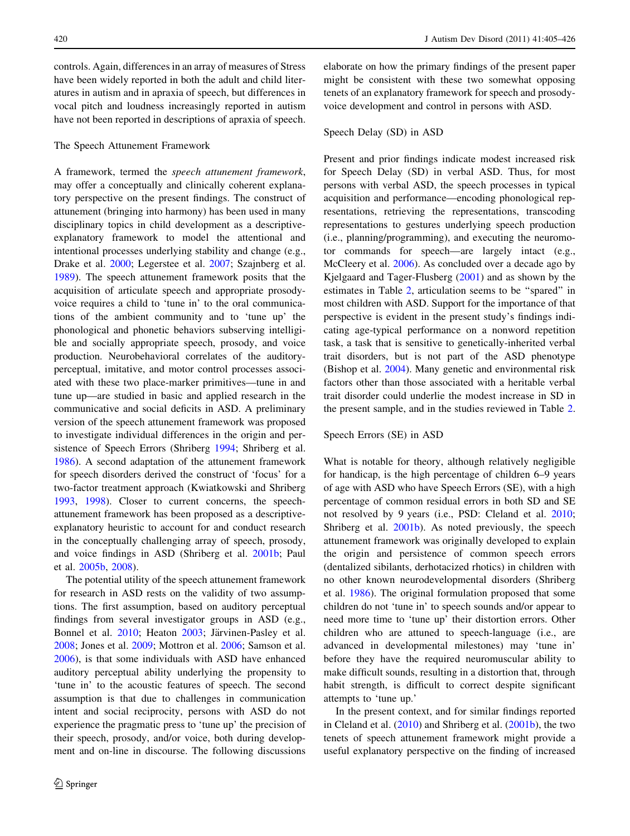controls. Again, differences in an array of measures of Stress have been widely reported in both the adult and child literatures in autism and in apraxia of speech, but differences in vocal pitch and loudness increasingly reported in autism have not been reported in descriptions of apraxia of speech.

## The Speech Attunement Framework

A framework, termed the speech attunement framework, may offer a conceptually and clinically coherent explanatory perspective on the present findings. The construct of attunement (bringing into harmony) has been used in many disciplinary topics in child development as a descriptiveexplanatory framework to model the attentional and intentional processes underlying stability and change (e.g., Drake et al. [2000;](#page-18-0) Legerstee et al. [2007;](#page-18-0) Szajnberg et al. [1989\)](#page-20-0). The speech attunement framework posits that the acquisition of articulate speech and appropriate prosodyvoice requires a child to 'tune in' to the oral communications of the ambient community and to 'tune up' the phonological and phonetic behaviors subserving intelligible and socially appropriate speech, prosody, and voice production. Neurobehavioral correlates of the auditoryperceptual, imitative, and motor control processes associated with these two place-marker primitives—tune in and tune up—are studied in basic and applied research in the communicative and social deficits in ASD. A preliminary version of the speech attunement framework was proposed to investigate individual differences in the origin and persistence of Speech Errors (Shriberg [1994;](#page-19-0) Shriberg et al. [1986\)](#page-20-0). A second adaptation of the attunement framework for speech disorders derived the construct of 'focus' for a two-factor treatment approach (Kwiatkowski and Shriberg [1993,](#page-18-0) [1998](#page-18-0)). Closer to current concerns, the speechattunement framework has been proposed as a descriptiveexplanatory heuristic to account for and conduct research in the conceptually challenging array of speech, prosody, and voice findings in ASD (Shriberg et al. [2001b;](#page-20-0) Paul et al. [2005b,](#page-19-0) [2008](#page-19-0)).

The potential utility of the speech attunement framework for research in ASD rests on the validity of two assumptions. The first assumption, based on auditory perceptual findings from several investigator groups in ASD (e.g., Bonnel et al. [2010;](#page-17-0) Heaton [2003;](#page-18-0) Järvinen-Pasley et al. [2008;](#page-18-0) Jones et al. [2009;](#page-18-0) Mottron et al. [2006;](#page-19-0) Samson et al. [2006\)](#page-19-0), is that some individuals with ASD have enhanced auditory perceptual ability underlying the propensity to 'tune in' to the acoustic features of speech. The second assumption is that due to challenges in communication intent and social reciprocity, persons with ASD do not experience the pragmatic press to 'tune up' the precision of their speech, prosody, and/or voice, both during development and on-line in discourse. The following discussions

elaborate on how the primary findings of the present paper might be consistent with these two somewhat opposing tenets of an explanatory framework for speech and prosodyvoice development and control in persons with ASD.

## Speech Delay (SD) in ASD

Present and prior findings indicate modest increased risk for Speech Delay (SD) in verbal ASD. Thus, for most persons with verbal ASD, the speech processes in typical acquisition and performance—encoding phonological representations, retrieving the representations, transcoding representations to gestures underlying speech production (i.e., planning/programming), and executing the neuromotor commands for speech—are largely intact (e.g., McCleery et al. [2006\)](#page-19-0). As concluded over a decade ago by Kjelgaard and Tager-Flusberg [\(2001](#page-18-0)) and as shown by the estimates in Table [2](#page-4-0), articulation seems to be ''spared'' in most children with ASD. Support for the importance of that perspective is evident in the present study's findings indicating age-typical performance on a nonword repetition task, a task that is sensitive to genetically-inherited verbal trait disorders, but is not part of the ASD phenotype (Bishop et al. [2004\)](#page-17-0). Many genetic and environmental risk factors other than those associated with a heritable verbal trait disorder could underlie the modest increase in SD in the present sample, and in the studies reviewed in Table [2.](#page-4-0)

#### Speech Errors (SE) in ASD

What is notable for theory, although relatively negligible for handicap, is the high percentage of children 6–9 years of age with ASD who have Speech Errors (SE), with a high percentage of common residual errors in both SD and SE not resolved by 9 years (i.e., PSD: Cleland et al. [2010](#page-18-0); Shriberg et al. [2001b\)](#page-20-0). As noted previously, the speech attunement framework was originally developed to explain the origin and persistence of common speech errors (dentalized sibilants, derhotacized rhotics) in children with no other known neurodevelopmental disorders (Shriberg et al. [1986](#page-20-0)). The original formulation proposed that some children do not 'tune in' to speech sounds and/or appear to need more time to 'tune up' their distortion errors. Other children who are attuned to speech-language (i.e., are advanced in developmental milestones) may 'tune in' before they have the required neuromuscular ability to make difficult sounds, resulting in a distortion that, through habit strength, is difficult to correct despite significant attempts to 'tune up.'

In the present context, and for similar findings reported in Cleland et al. ([2010\)](#page-18-0) and Shriberg et al. [\(2001b](#page-20-0)), the two tenets of speech attunement framework might provide a useful explanatory perspective on the finding of increased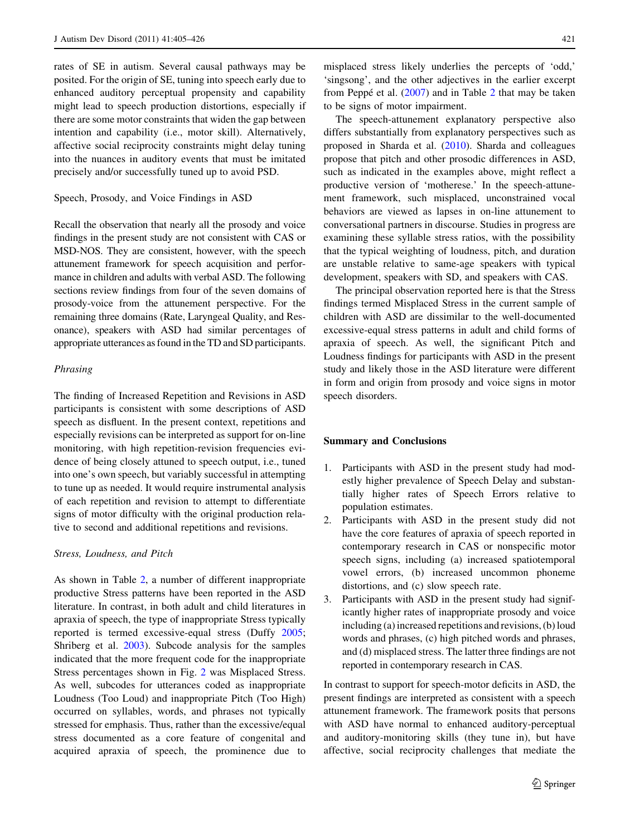rates of SE in autism. Several causal pathways may be posited. For the origin of SE, tuning into speech early due to enhanced auditory perceptual propensity and capability might lead to speech production distortions, especially if there are some motor constraints that widen the gap between intention and capability (i.e., motor skill). Alternatively, affective social reciprocity constraints might delay tuning into the nuances in auditory events that must be imitated precisely and/or successfully tuned up to avoid PSD.

# Speech, Prosody, and Voice Findings in ASD

Recall the observation that nearly all the prosody and voice findings in the present study are not consistent with CAS or MSD-NOS. They are consistent, however, with the speech attunement framework for speech acquisition and performance in children and adults with verbal ASD. The following sections review findings from four of the seven domains of prosody-voice from the attunement perspective. For the remaining three domains (Rate, Laryngeal Quality, and Resonance), speakers with ASD had similar percentages of appropriate utterances as found in the TD and SD participants.

### Phrasing

The finding of Increased Repetition and Revisions in ASD participants is consistent with some descriptions of ASD speech as disfluent. In the present context, repetitions and especially revisions can be interpreted as support for on-line monitoring, with high repetition-revision frequencies evidence of being closely attuned to speech output, i.e., tuned into one's own speech, but variably successful in attempting to tune up as needed. It would require instrumental analysis of each repetition and revision to attempt to differentiate signs of motor difficulty with the original production relative to second and additional repetitions and revisions.

#### Stress, Loudness, and Pitch

As shown in Table [2,](#page-4-0) a number of different inappropriate productive Stress patterns have been reported in the ASD literature. In contrast, in both adult and child literatures in apraxia of speech, the type of inappropriate Stress typically reported is termed excessive-equal stress (Duffy [2005](#page-18-0); Shriberg et al. [2003\)](#page-20-0). Subcode analysis for the samples indicated that the more frequent code for the inappropriate Stress percentages shown in Fig. [2](#page-13-0) was Misplaced Stress. As well, subcodes for utterances coded as inappropriate Loudness (Too Loud) and inappropriate Pitch (Too High) occurred on syllables, words, and phrases not typically stressed for emphasis. Thus, rather than the excessive/equal stress documented as a core feature of congenital and acquired apraxia of speech, the prominence due to

misplaced stress likely underlies the percepts of 'odd,' 'singsong', and the other adjectives in the earlier excerpt from Peppé et al.  $(2007)$  $(2007)$  and in Table [2](#page-4-0) that may be taken to be signs of motor impairment.

The speech-attunement explanatory perspective also differs substantially from explanatory perspectives such as proposed in Sharda et al. ([2010\)](#page-19-0). Sharda and colleagues propose that pitch and other prosodic differences in ASD, such as indicated in the examples above, might reflect a productive version of 'motherese.' In the speech-attunement framework, such misplaced, unconstrained vocal behaviors are viewed as lapses in on-line attunement to conversational partners in discourse. Studies in progress are examining these syllable stress ratios, with the possibility that the typical weighting of loudness, pitch, and duration are unstable relative to same-age speakers with typical development, speakers with SD, and speakers with CAS.

The principal observation reported here is that the Stress findings termed Misplaced Stress in the current sample of children with ASD are dissimilar to the well-documented excessive-equal stress patterns in adult and child forms of apraxia of speech. As well, the significant Pitch and Loudness findings for participants with ASD in the present study and likely those in the ASD literature were different in form and origin from prosody and voice signs in motor speech disorders.

# Summary and Conclusions

- 1. Participants with ASD in the present study had modestly higher prevalence of Speech Delay and substantially higher rates of Speech Errors relative to population estimates.
- 2. Participants with ASD in the present study did not have the core features of apraxia of speech reported in contemporary research in CAS or nonspecific motor speech signs, including (a) increased spatiotemporal vowel errors, (b) increased uncommon phoneme distortions, and (c) slow speech rate.
- 3. Participants with ASD in the present study had significantly higher rates of inappropriate prosody and voice including (a) increased repetitions and revisions, (b) loud words and phrases, (c) high pitched words and phrases, and (d) misplaced stress. The latter three findings are not reported in contemporary research in CAS.

In contrast to support for speech-motor deficits in ASD, the present findings are interpreted as consistent with a speech attunement framework. The framework posits that persons with ASD have normal to enhanced auditory-perceptual and auditory-monitoring skills (they tune in), but have affective, social reciprocity challenges that mediate the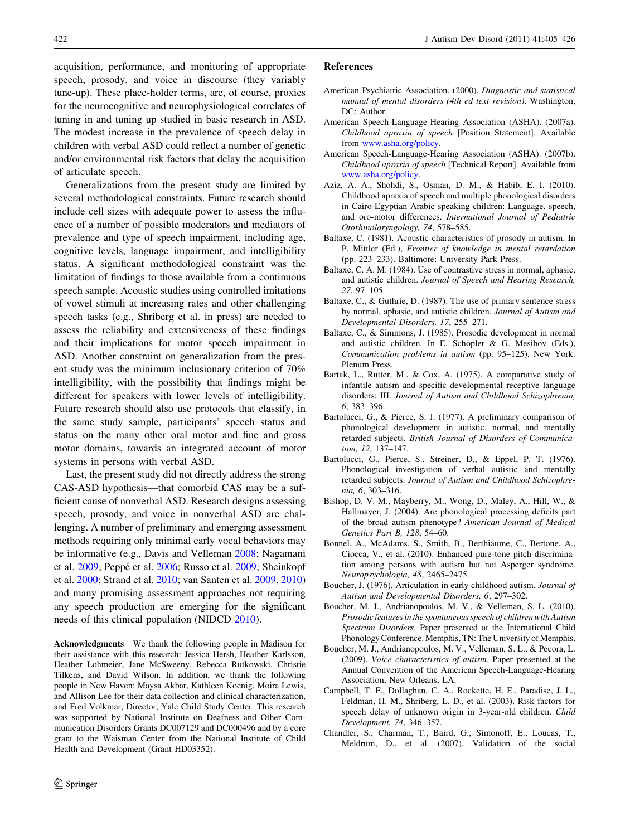<span id="page-17-0"></span>acquisition, performance, and monitoring of appropriate speech, prosody, and voice in discourse (they variably tune-up). These place-holder terms, are, of course, proxies for the neurocognitive and neurophysiological correlates of tuning in and tuning up studied in basic research in ASD. The modest increase in the prevalence of speech delay in children with verbal ASD could reflect a number of genetic and/or environmental risk factors that delay the acquisition of articulate speech.

Generalizations from the present study are limited by several methodological constraints. Future research should include cell sizes with adequate power to assess the influence of a number of possible moderators and mediators of prevalence and type of speech impairment, including age, cognitive levels, language impairment, and intelligibility status. A significant methodological constraint was the limitation of findings to those available from a continuous speech sample. Acoustic studies using controlled imitations of vowel stimuli at increasing rates and other challenging speech tasks (e.g., Shriberg et al. in press) are needed to assess the reliability and extensiveness of these findings and their implications for motor speech impairment in ASD. Another constraint on generalization from the present study was the minimum inclusionary criterion of 70% intelligibility, with the possibility that findings might be different for speakers with lower levels of intelligibility. Future research should also use protocols that classify, in the same study sample, participants' speech status and status on the many other oral motor and fine and gross motor domains, towards an integrated account of motor systems in persons with verbal ASD.

Last, the present study did not directly address the strong CAS-ASD hypothesis—that comorbid CAS may be a sufficient cause of nonverbal ASD. Research designs assessing speech, prosody, and voice in nonverbal ASD are challenging. A number of preliminary and emerging assessment methods requiring only minimal early vocal behaviors may be informative (e.g., Davis and Velleman [2008](#page-18-0); Nagamani et al. [2009](#page-19-0); Peppé et al. [2006;](#page-19-0) Russo et al. [2009;](#page-19-0) Sheinkopf et al. [2000;](#page-19-0) Strand et al. [2010;](#page-20-0) van Santen et al. [2009](#page-20-0), [2010\)](#page-20-0) and many promising assessment approaches not requiring any speech production are emerging for the significant needs of this clinical population (NIDCD [2010\)](#page-19-0).

Acknowledgments We thank the following people in Madison for their assistance with this research: Jessica Hersh, Heather Karlsson, Heather Lohmeier, Jane McSweeny, Rebecca Rutkowski, Christie Tilkens, and David Wilson. In addition, we thank the following people in New Haven: Maysa Akbar, Kathleen Koenig, Moira Lewis, and Allison Lee for their data collection and clinical characterization, and Fred Volkmar, Director, Yale Child Study Center. This research was supported by National Institute on Deafness and Other Communication Disorders Grants DC007129 and DC000496 and by a core grant to the Waisman Center from the National Institute of Child Health and Development (Grant HD03352).

## References

- American Psychiatric Association. (2000). Diagnostic and statistical manual of mental disorders (4th ed text revision). Washington, DC: Author.
- American Speech-Language-Hearing Association (ASHA). (2007a). Childhood apraxia of speech [Position Statement]. Available from [www.asha.org/policy.](http://www.asha.org/policy)
- American Speech-Language-Hearing Association (ASHA). (2007b). Childhood apraxia of speech [Technical Report]. Available from [www.asha.org/policy.](http://www.asha.org/policy)
- Aziz, A. A., Shohdi, S., Osman, D. M., & Habib, E. I. (2010). Childhood apraxia of speech and multiple phonological disorders in Cairo-Egyptian Arabic speaking children: Language, speech, and oro-motor differences. International Journal of Pediatric Otorhinolaryngology, 74, 578–585.
- Baltaxe, C. (1981). Acoustic characteristics of prosody in autism. In P. Mittler (Ed.), Frontier of knowledge in mental retardation (pp. 223–233). Baltimore: University Park Press.
- Baltaxe, C. A. M. (1984). Use of contrastive stress in normal, aphasic, and autistic children. Journal of Speech and Hearing Research, 27, 97–105.
- Baltaxe, C., & Guthrie, D. (1987). The use of primary sentence stress by normal, aphasic, and autistic children. Journal of Autism and Developmental Disorders, 17, 255–271.
- Baltaxe, C., & Simmons, J. (1985). Prosodic development in normal and autistic children. In E. Schopler & G. Mesibov (Eds.), Communication problems in autism (pp. 95–125). New York: Plenum Press.
- Bartak, L., Rutter, M., & Cox, A. (1975). A comparative study of infantile autism and specific developmental receptive language disorders: III. Journal of Autism and Childhood Schizophrenia, 6, 383–396.
- Bartolucci, G., & Pierce, S. J. (1977). A preliminary comparison of phonological development in autistic, normal, and mentally retarded subjects. British Journal of Disorders of Communication, 12, 137–147.
- Bartolucci, G., Pierce, S., Streiner, D., & Eppel, P. T. (1976). Phonological investigation of verbal autistic and mentally retarded subjects. Journal of Autism and Childhood Schizophrenia, 6, 303–316.
- Bishop, D. V. M., Mayberry, M., Wong, D., Maley, A., Hill, W., & Hallmayer, J. (2004). Are phonological processing deficits part of the broad autism phenotype? American Journal of Medical Genetics Part B, 128, 54–60.
- Bonnel, A., McAdams, S., Smith, B., Berthiaume, C., Bertone, A., Ciocca, V., et al. (2010). Enhanced pure-tone pitch discrimination among persons with autism but not Asperger syndrome. Neuropsychologia, 48, 2465–2475.
- Boucher, J. (1976). Articulation in early childhood autism. Journal of Autism and Developmental Disorders, 6, 297–302.
- Boucher, M. J., Andrianopoulos, M. V., & Velleman, S. L. (2010). Prosodic features in the spontaneous speech of children with Autism Spectrum Disorders. Paper presented at the International Child Phonology Conference. Memphis, TN: The University of Memphis.
- Boucher, M. J., Andrianopoulos, M. V., Velleman, S. L., & Pecora, L. (2009). Voice characteristics of autism. Paper presented at the Annual Convention of the American Speech-Language-Hearing Association, New Orleans, LA.
- Campbell, T. F., Dollaghan, C. A., Rockette, H. E., Paradise, J. L., Feldman, H. M., Shriberg, L. D., et al. (2003). Risk factors for speech delay of unknown origin in 3-year-old children. Child Development, 74, 346–357.
- Chandler, S., Charman, T., Baird, G., Simonoff, E., Loucas, T., Meldrum, D., et al. (2007). Validation of the social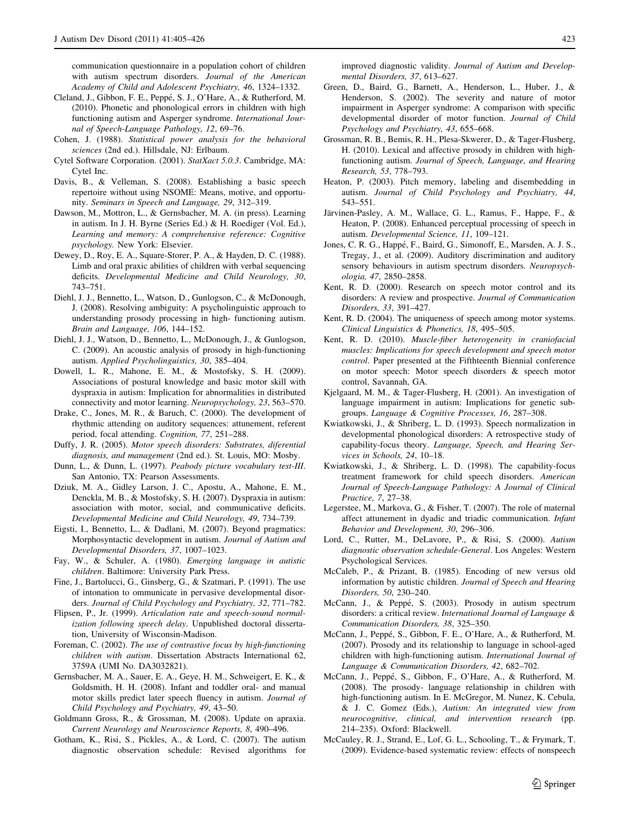<span id="page-18-0"></span>communication questionnaire in a population cohort of children with autism spectrum disorders. Journal of the American Academy of Child and Adolescent Psychiatry, 46, 1324–1332.

- Cleland, J., Gibbon, F. E., Peppé, S. J., O'Hare, A., & Rutherford, M. (2010). Phonetic and phonological errors in children with high functioning autism and Asperger syndrome. International Journal of Speech-Language Pathology, 12, 69–76.
- Cohen, J. (1988). Statistical power analysis for the behavioral sciences (2nd ed.). Hillsdale, NJ: Erlbaum.
- Cytel Software Corporation. (2001). StatXact 5.0.3. Cambridge, MA: Cytel Inc.
- Davis, B., & Velleman, S. (2008). Establishing a basic speech repertoire without using NSOME: Means, motive, and opportunity. Seminars in Speech and Language, 29, 312–319.
- Dawson, M., Mottron, L., & Gernsbacher, M. A. (in press). Learning in autism. In J. H. Byrne (Series Ed.) & H. Roediger (Vol. Ed.), Learning and memory: A comprehensive reference: Cognitive psychology. New York: Elsevier.
- Dewey, D., Roy, E. A., Square-Storer, P. A., & Hayden, D. C. (1988). Limb and oral praxic abilities of children with verbal sequencing deficits. Developmental Medicine and Child Neurology, 30, 743–751.
- Diehl, J. J., Bennetto, L., Watson, D., Gunlogson, C., & McDonough, J. (2008). Resolving ambiguity: A psycholinguistic approach to understanding prosody processing in high- functioning autism. Brain and Language, 106, 144–152.
- Diehl, J. J., Watson, D., Bennetto, L., McDonough, J., & Gunlogson, C. (2009). An acoustic analysis of prosody in high-functioning autism. Applied Psycholinguistics, 30, 385–404.
- Dowell, L. R., Mahone, E. M., & Mostofsky, S. H. (2009). Associations of postural knowledge and basic motor skill with dyspraxia in autism: Implication for abnormalities in distributed connectivity and motor learning. Neuropsychology, 23, 563–570.
- Drake, C., Jones, M. R., & Baruch, C. (2000). The development of rhythmic attending on auditory sequences: attunement, referent period, focal attending. Cognition, 77, 251–288.
- Duffy, J. R. (2005). Motor speech disorders: Substrates, diferential diagnosis, and management (2nd ed.). St. Louis, MO: Mosby.
- Dunn, L., & Dunn, L. (1997). Peabody picture vocabulary test-III. San Antonio, TX: Pearson Assessments.
- Dziuk, M. A., Gidley Larson, J. C., Apostu, A., Mahone, E. M., Denckla, M. B., & Mostofsky, S. H. (2007). Dyspraxia in autism: association with motor, social, and communicative deficits. Developmental Medicine and Child Neurology, 49, 734–739.
- Eigsti, I., Bennetto, L., & Dadlani, M. (2007). Beyond pragmatics: Morphosyntactic development in autism. Journal of Autism and Developmental Disorders, 37, 1007–1023.
- Fay, W., & Schuler, A. (1980). Emerging language in autistic children. Baltimore: University Park Press.
- Fine, J., Bartolucci, G., Ginsberg, G., & Szatmari, P. (1991). The use of intonation to ommunicate in pervasive developmental disorders. Journal of Child Psychology and Psychiatry, 32, 771–782.
- Flipsen, P., Jr. (1999). Articulation rate and speech-sound normalization following speech delay. Unpublished doctoral dissertation, University of Wisconsin-Madison.
- Foreman, C. (2002). The use of contrastive focus by high-functioning children with autism. Dissertation Abstracts International 62, 3759A (UMI No. DA3032821).
- Gernsbacher, M. A., Sauer, E. A., Geye, H. M., Schweigert, E. K., & Goldsmith, H. H. (2008). Infant and toddler oral- and manual motor skills predict later speech fluency in autism. Journal of Child Psychology and Psychiatry, 49, 43–50.
- Goldmann Gross, R., & Grossman, M. (2008). Update on apraxia. Current Neurology and Neuroscience Reports, 8, 490–496.
- Gotham, K., Risi, S., Pickles, A., & Lord, C. (2007). The autism diagnostic observation schedule: Revised algorithms for

improved diagnostic validity. Journal of Autism and Developmental Disorders, 37, 613–627.

- Green, D., Baird, G., Barnett, A., Henderson, L., Huber, J., & Henderson, S. (2002). The severity and nature of motor impairment in Asperger syndrome: A comparison with specific developmental disorder of motor function. Journal of Child Psychology and Psychiatry, 43, 655–668.
- Grossman, R. B., Bemis, R. H., Plesa-Skwerer, D., & Tager-Flusberg, H. (2010). Lexical and affective prosody in children with highfunctioning autism. Journal of Speech, Language, and Hearing Research, 53, 778–793.
- Heaton, P. (2003). Pitch memory, labeling and disembedding in autism. Journal of Child Psychology and Psychiatry, 44, 543–551.
- Järvinen-Pasley, A. M., Wallace, G. L., Ramus, F., Happe, F., & Heaton, P. (2008). Enhanced perceptual processing of speech in autism. Developmental Science, 11, 109–121.
- Jones, C. R. G., Happé, F., Baird, G., Simonoff, E., Marsden, A. J. S., Tregay, J., et al. (2009). Auditory discrimination and auditory sensory behaviours in autism spectrum disorders. Neuropsychologia, 47, 2850–2858.
- Kent, R. D. (2000). Research on speech motor control and its disorders: A review and prospective. Journal of Communication Disorders, 33, 391–427.
- Kent, R. D. (2004). The uniqueness of speech among motor systems. Clinical Linguistics & Phonetics, 18, 495–505.
- Kent, R. D. (2010). Muscle-fiber heterogeneity in craniofacial muscles: Implications for speech development and speech motor control. Paper presented at the Fifthteenth Biennial conference on motor speech: Motor speech disorders & speech motor control, Savannah, GA.
- Kjelgaard, M. M., & Tager-Flusberg, H. (2001). An investigation of language impairment in autism: Implications for genetic subgroups. Language & Cognitive Processes, 16, 287–308.
- Kwiatkowski, J., & Shriberg, L. D. (1993). Speech normalization in developmental phonological disorders: A retrospective study of capability-focus theory. Language, Speech, and Hearing Services in Schools, 24, 10–18.
- Kwiatkowski, J., & Shriberg, L. D. (1998). The capability-focus treatment framework for child speech disorders. American Journal of Speech-Language Pathology: A Journal of Clinical Practice, 7, 27–38.
- Legerstee, M., Markova, G., & Fisher, T. (2007). The role of maternal affect attunement in dyadic and triadic communication. Infant Behavior and Development, 30, 296–306.
- Lord, C., Rutter, M., DeLavore, P., & Risi, S. (2000). Autism diagnostic observation schedule-General. Los Angeles: Western Psychological Services.
- McCaleb, P., & Prizant, B. (1985). Encoding of new versus old information by autistic children. Journal of Speech and Hearing Disorders, 50, 230–240.
- McCann, J., & Peppé, S. (2003). Prosody in autism spectrum disorders: a critical review. International Journal of Language & Communication Disorders, 38, 325–350.
- McCann, J., Peppé, S., Gibbon, F. E., O'Hare, A., & Rutherford, M. (2007). Prosody and its relationship to language in school-aged children with high-functioning autism. International Journal of Language & Communication Disorders, 42, 682–702.
- McCann, J., Peppé, S., Gibbon, F., O'Hare, A., & Rutherford, M. (2008). The prosody- language relationship in children with high-functioning autism. In E. McGregor, M. Nunez, K. Cebula, & J. C. Gomez (Eds.), Autism: An integrated view from neurocognitive, clinical, and intervention research (pp. 214–235). Oxford: Blackwell.
- McCauley, R. J., Strand, E., Lof, G. L., Schooling, T., & Frymark, T. (2009). Evidence-based systematic review: effects of nonspeech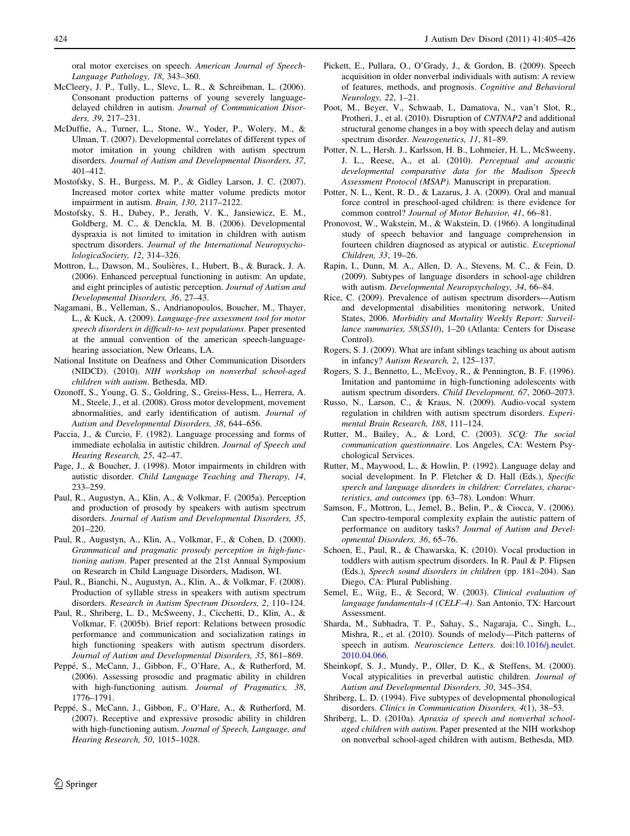<span id="page-19-0"></span>oral motor exercises on speech. American Journal of Speech-Language Pathology, 18, 343–360.

- McCleery, J. P., Tully, L., Slevc, L. R., & Schreibman, L. (2006). Consonant production patterns of young severely languagedelayed children in autism. Journal of Communication Disorders, 39, 217–231.
- McDuffie, A., Turner, L., Stone, W., Yoder, P., Wolery, M., & Ulman, T. (2007). Developmental correlates of different types of motor imitation in young children with autism spectrum disorders. Journal of Autism and Developmental Disorders, 37, 401–412.
- Mostofsky, S. H., Burgess, M. P., & Gidley Larson, J. C. (2007). Increased motor cortex white matter volume predicts motor impairment in autism. Brain, 130, 2117–2122.
- Mostofsky, S. H., Dubey, P., Jerath, V. K., Jansiewicz, E. M., Goldberg, M. C., & Denckla, M. B. (2006). Developmental dyspraxia is not limited to imitation in children with autism spectrum disorders. Journal of the International NeuropsycholologicaSociety, 12, 314–326.
- Mottron, L., Dawson, M., Soulières, I., Hubert, B., & Burack, J. A. (2006). Enhanced perceptual functioning in autism: An update, and eight principles of autistic perception. Journal of Autism and Developmental Disorders, 36, 27–43.
- Nagamani, B., Velleman, S., Andrianopoulos, Boucher, M., Thayer, L., & Kuck, A. (2009). Language-free assessment tool for motor speech disorders in difficult-to- test populations. Paper presented at the annual convention of the american speech-languagehearing association, New Orleans, LA.
- National Institute on Deafness and Other Communication Disorders (NIDCD). (2010). NIH workshop on nonverbal school-aged children with autism. Bethesda, MD.
- Ozonoff, S., Young, G. S., Goldring, S., Greiss-Hess, L., Herrera, A. M., Steele, J., et al. (2008). Gross motor development, movement abnormalities, and early identification of autism. Journal of Autism and Developmental Disorders, 38, 644–656.
- Paccia, J., & Curcio, F. (1982). Language processing and forms of immediate echolalia in autistic children. Journal of Speech and Hearing Research, 25, 42–47.
- Page, J., & Boucher, J. (1998). Motor impairments in children with autistic disorder. Child Language Teaching and Therapy, 14, 233–259.
- Paul, R., Augustyn, A., Klin, A., & Volkmar, F. (2005a). Perception and production of prosody by speakers with autism spectrum disorders. Journal of Autism and Developmental Disorders, 35, 201–220.
- Paul, R., Augustyn, A., Klin, A., Volkmar, F., & Cohen, D. (2000). Grammatical and pragmatic prosody perception in high-functioning autism. Paper presented at the 21st Annual Symposium on Research in Child Language Disorders, Madison, WI.
- Paul, R., Bianchi, N., Augustyn, A., Klin, A., & Volkmar, F. (2008). Production of syllable stress in speakers with autism spectrum disorders. Research in Autism Spectrum Disorders, 2, 110–124.
- Paul, R., Shriberg, L. D., McSweeny, J., Cicchetti, D., Klin, A., & Volkmar, F. (2005b). Brief report: Relations between prosodic performance and communication and socialization ratings in high functioning speakers with autism spectrum disorders. Journal of Autism and Developmental Disorders, 35, 861–869.
- Peppé, S., McCann, J., Gibbon, F., O'Hare, A., & Rutherford, M. (2006). Assessing prosodic and pragmatic ability in children with high-functioning autism. Journal of Pragmatics, 38, 1776–1791.
- Peppé, S., McCann, J., Gibbon, F., O'Hare, A., & Rutherford, M. (2007). Receptive and expressive prosodic ability in children with high-functioning autism. Journal of Speech, Language, and Hearing Research, 50, 1015–1028.
- Pickett, E., Pullara, O., O'Grady, J., & Gordon, B. (2009). Speech acquisition in older nonverbal individuals with autism: A review of features, methods, and prognosis. Cognitive and Behavioral Neurology, 22, 1–21.
- Poot, M., Beyer, V., Schwaab, I., Damatova, N., van't Slot, R., Protheri, J., et al. (2010). Disruption of CNTNAP2 and additional structural genome changes in a boy with speech delay and autism spectrum disorder. Neurogenetics, 11, 81–89.
- Potter, N. L., Hersh. J., Karlsson, H. B., Lohmeier, H. L., McSweeny, J. L., Reese, A., et al. (2010). Perceptual and acoustic developmental comparative data for the Madison Speech Assessment Protocol (MSAP). Manuscript in preparation.
- Potter, N. L., Kent, R. D., & Lazarus, J. A. (2009). Oral and manual force control in preschool-aged children: is there evidence for common control? Journal of Motor Behavior, 41, 66–81.
- Pronovost, W., Wakstein, M., & Wakstein, D. (1966). A longitudinal study of speech behavior and language comprehension in fourteen children diagnosed as atypical or autistic. Exceptional Children, 33, 19–26.
- Rapin, I., Dunn, M. A., Allen, D. A., Stevens, M. C., & Fein, D. (2009). Subtypes of language disorders in school-age children with autism. Developmental Neuropsychology, 34, 66–84.
- Rice, C. (2009). Prevalence of autism spectrum disorders—Autism and developmental disabilities monitoring network, United States, 2006. Morbidity and Mortality Weekly Report: Surveillance summaries, 58(SS10), 1–20 (Atlanta: Centers for Disease Control).
- Rogers, S. J. (2009). What are infant siblings teaching us about autism in infancy? Autism Research, 2, 125–137.
- Rogers, S. J., Bennetto, L., McEvoy, R., & Pennington, B. F. (1996). Imitation and pantomime in high-functioning adolescents with autism spectrum disorders. Child Development, 67, 2060–2073.
- Russo, N., Larson, C., & Kraus, N. (2009). Audio-vocal system regulation in children with autism spectrum disorders. Experimental Brain Research, 188, 111–124.
- Rutter, M., Bailey, A., & Lord, C. (2003). SCQ: The social communication questionnaire. Los Angeles, CA: Western Psychological Services.
- Rutter, M., Maywood, L., & Howlin, P. (1992). Language delay and social development. In P. Fletcher & D. Hall (Eds.), Specific speech and language disorders in children: Correlates, characteristics, and outcomes (pp. 63–78). London: Whurr.
- Samson, F., Mottron, L., Jemel, B., Belin, P., & Ciocca, V. (2006). Can spectro-temporal complexity explain the autistic pattern of performance on auditory tasks? Journal of Autism and Developmental Disorders, 36, 65–76.
- Schoen, E., Paul, R., & Chawarska, K. (2010). Vocal production in toddlers with autism spectrum disorders. In R. Paul & P. Flipsen (Eds.), Speech sound disorders in children (pp. 181–204). San Diego, CA: Plural Publishing.
- Semel, E., Wiig, E., & Secord, W. (2003). Clinical evaluation of language fundamentals-4 (CELF–4). San Antonio, TX: Harcourt Assessment.
- Sharda, M., Subhadra, T. P., Sahay, S., Nagaraja, C., Singh, L., Mishra, R., et al. (2010). Sounds of melody—Pitch patterns of speech in autism. Neuroscience Letters. doi:[10.1016/j.neulet.](http://dx.doi.org/10.1016/j.neulet.2010.04.066) [2010.04.066](http://dx.doi.org/10.1016/j.neulet.2010.04.066).
- Sheinkopf, S. J., Mundy, P., Oller, D. K., & Steffens, M. (2000). Vocal atypicalities in preverbal autistic children. Journal of Autism and Developmental Disorders, 30, 345–354.
- Shriberg, L. D. (1994). Five subtypes of developmental phonological disorders. Clinics in Communication Disorders, 4(1), 38–53.
- Shriberg, L. D. (2010a). Apraxia of speech and nonverbal schoolaged children with autism. Paper presented at the NIH workshop on nonverbal school-aged children with autism, Bethesda, MD.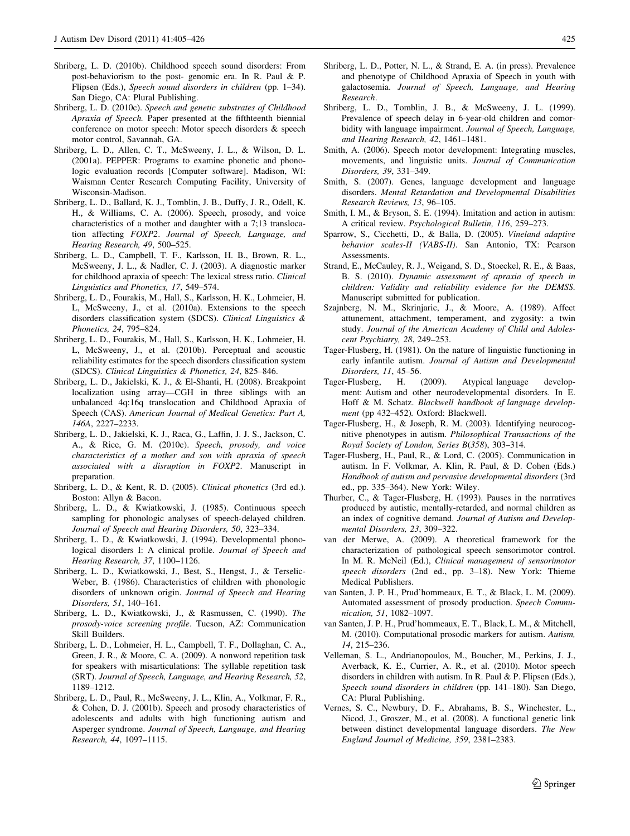- <span id="page-20-0"></span>Shriberg, L. D. (2010b). Childhood speech sound disorders: From post-behaviorism to the post- genomic era. In R. Paul & P. Flipsen (Eds.), Speech sound disorders in children (pp. 1–34). San Diego, CA: Plural Publishing.
- Shriberg, L. D. (2010c). Speech and genetic substrates of Childhood Apraxia of Speech. Paper presented at the fifthteenth biennial conference on motor speech: Motor speech disorders & speech motor control, Savannah, GA.
- Shriberg, L. D., Allen, C. T., McSweeny, J. L., & Wilson, D. L. (2001a). PEPPER: Programs to examine phonetic and phonologic evaluation records [Computer software]. Madison, WI: Waisman Center Research Computing Facility, University of Wisconsin-Madison.
- Shriberg, L. D., Ballard, K. J., Tomblin, J. B., Duffy, J. R., Odell, K. H., & Williams, C. A. (2006). Speech, prosody, and voice characteristics of a mother and daughter with a 7;13 translocation affecting FOXP2. Journal of Speech, Language, and Hearing Research, 49, 500–525.
- Shriberg, L. D., Campbell, T. F., Karlsson, H. B., Brown, R. L., McSweeny, J. L., & Nadler, C. J. (2003). A diagnostic marker for childhood apraxia of speech: The lexical stress ratio. Clinical Linguistics and Phonetics, 17, 549–574.
- Shriberg, L. D., Fourakis, M., Hall, S., Karlsson, H. K., Lohmeier, H. L, McSweeny, J., et al. (2010a). Extensions to the speech disorders classification system (SDCS). Clinical Linguistics & Phonetics, 24, 795–824.
- Shriberg, L. D., Fourakis, M., Hall, S., Karlsson, H. K., Lohmeier, H. L, McSweeny, J., et al. (2010b). Perceptual and acoustic reliability estimates for the speech disorders classification system (SDCS). Clinical Linguistics & Phonetics, 24, 825–846.
- Shriberg, L. D., Jakielski, K. J., & El-Shanti, H. (2008). Breakpoint localization using array—CGH in three siblings with an unbalanced 4q:16q translocation and Childhood Apraxia of Speech (CAS). American Journal of Medical Genetics: Part A, 146A, 2227–2233.
- Shriberg, L. D., Jakielski, K. J., Raca, G., Laffin, J. J. S., Jackson, C. A., & Rice, G. M. (2010c). Speech, prosody, and voice characteristics of a mother and son with apraxia of speech associated with a disruption in FOXP2. Manuscript in preparation.
- Shriberg, L. D., & Kent, R. D. (2005). Clinical phonetics (3rd ed.). Boston: Allyn & Bacon.
- Shriberg, L. D., & Kwiatkowski, J. (1985). Continuous speech sampling for phonologic analyses of speech-delayed children. Journal of Speech and Hearing Disorders, 50, 323–334.
- Shriberg, L. D., & Kwiatkowski, J. (1994). Developmental phonological disorders I: A clinical profile. Journal of Speech and Hearing Research, 37, 1100–1126.
- Shriberg, L. D., Kwiatkowski, J., Best, S., Hengst, J., & Terselic-Weber, B. (1986). Characteristics of children with phonologic disorders of unknown origin. Journal of Speech and Hearing Disorders, 51, 140–161.
- Shriberg, L. D., Kwiatkowski, J., & Rasmussen, C. (1990). The prosody-voice screening profile. Tucson, AZ: Communication Skill Builders.
- Shriberg, L. D., Lohmeier, H. L., Campbell, T. F., Dollaghan, C. A., Green, J. R., & Moore, C. A. (2009). A nonword repetition task for speakers with misarticulations: The syllable repetition task (SRT). Journal of Speech, Language, and Hearing Research, 52, 1189–1212.
- Shriberg, L. D., Paul, R., McSweeny, J. L., Klin, A., Volkmar, F. R., & Cohen, D. J. (2001b). Speech and prosody characteristics of adolescents and adults with high functioning autism and Asperger syndrome. Journal of Speech, Language, and Hearing Research, 44, 1097–1115.
- Shriberg, L. D., Potter, N. L., & Strand, E. A. (in press). Prevalence and phenotype of Childhood Apraxia of Speech in youth with galactosemia. Journal of Speech, Language, and Hearing Research.
- Shriberg, L. D., Tomblin, J. B., & McSweeny, J. L. (1999). Prevalence of speech delay in 6-year-old children and comorbidity with language impairment. Journal of Speech, Language, and Hearing Research, 42, 1461–1481.
- Smith, A. (2006). Speech motor development: Integrating muscles, movements, and linguistic units. Journal of Communication Disorders, 39, 331–349.
- Smith, S. (2007). Genes, language development and language disorders. Mental Retardation and Developmental Disabilities Research Reviews, 13, 96–105.
- Smith, I. M., & Bryson, S. E. (1994). Imitation and action in autism: A critical review. Psychological Bulletin, 116, 259–273.
- Sparrow, S., Cicchetti, D., & Balla, D. (2005). Vineland adaptive behavior scales-II (VABS-II). San Antonio, TX: Pearson Assessments.
- Strand, E., McCauley, R. J., Weigand, S. D., Stoeckel, R. E., & Baas, B. S. (2010). Dynamic assessment of apraxia of speech in children: Validity and reliability evidence for the DEMSS. Manuscript submitted for publication.
- Szajnberg, N. M., Skrinjaric, J., & Moore, A. (1989). Affect attunement, attachment, temperament, and zygosity: a twin study. Journal of the American Academy of Child and Adolescent Psychiatry, 28, 249–253.
- Tager-Flusberg, H. (1981). On the nature of linguistic functioning in early infantile autism. Journal of Autism and Developmental Disorders, 11, 45–56.
- Tager-Flusberg, H. (2009). Atypical language development: Autism and other neurodevelopmental disorders. In E. Hoff & M. Schatz. Blackwell handbook of language development (pp 432–452). Oxford: Blackwell.
- Tager-Flusberg, H., & Joseph, R. M. (2003). Identifying neurocognitive phenotypes in autism. Philosophical Transactions of the Royal Society of London, Series B(358), 303–314.
- Tager-Flusberg, H., Paul, R., & Lord, C. (2005). Communication in autism. In F. Volkmar, A. Klin, R. Paul, & D. Cohen (Eds.) Handbook of autism and pervasive developmental disorders (3rd ed., pp. 335–364). New York: Wiley.
- Thurber, C., & Tager-Flusberg, H. (1993). Pauses in the narratives produced by autistic, mentally-retarded, and normal children as an index of cognitive demand. Journal of Autism and Developmental Disorders, 23, 309–322.
- van der Merwe, A. (2009). A theoretical framework for the characterization of pathological speech sensorimotor control. In M. R. McNeil (Ed.), Clinical management of sensorimotor speech disorders (2nd ed., pp. 3–18). New York: Thieme Medical Publishers.
- van Santen, J. P. H., Prud'hommeaux, E. T., & Black, L. M. (2009). Automated assessment of prosody production. Speech Communication, 51, 1082–1097.
- van Santen, J. P. H., Prud'hommeaux, E. T., Black, L. M., & Mitchell, M. (2010). Computational prosodic markers for autism. Autism, 14, 215–236.
- Velleman, S. L., Andrianopoulos, M., Boucher, M., Perkins, J. J., Averback, K. E., Currier, A. R., et al. (2010). Motor speech disorders in children with autism. In R. Paul & P. Flipsen (Eds.), Speech sound disorders in children (pp. 141–180). San Diego, CA: Plural Publishing.
- Vernes, S. C., Newbury, D. F., Abrahams, B. S., Winchester, L., Nicod, J., Groszer, M., et al. (2008). A functional genetic link between distinct developmental language disorders. The New England Journal of Medicine, 359, 2381–2383.